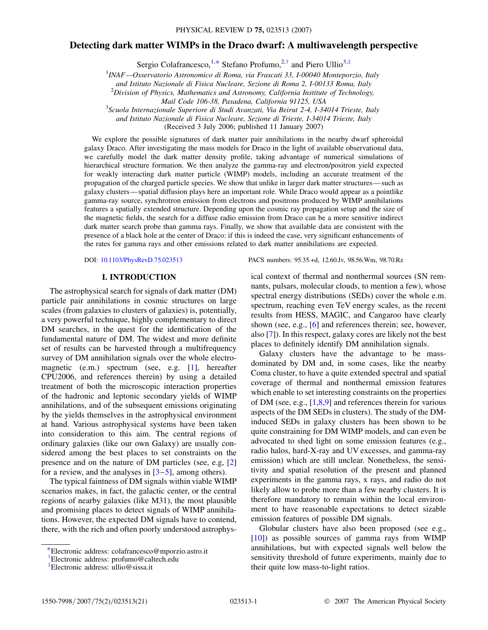# <span id="page-0-3"></span>**Detecting dark matter WIMPs in the Draco dwarf: A multiwavelength perspective**

Sergio Colafrancesco,<sup>1[,\\*](#page-0-0)</sup> Stefano Profumo,<sup>2,[†](#page-0-1)</sup> and Piero Ullio<sup>3[,‡](#page-0-2)</sup>

1 *INAF—Osservatorio Astronomico di Roma, via Frascati 33, I-00040 Monteporzio, Italy*

*and Istituto Nazionale di Fisica Nucleare, Sezione di Roma 2, I-00133 Roma, Italy*

2 *Division of Physics, Mathematics and Astronomy, California Institute of Technology,*

*Mail Code 106-38, Pasadena, California 91125, USA* <sup>3</sup>

*Scuola Internazionale Superiore di Studi Avanzati, Via Beirut 2-4, I-34014 Trieste, Italy*

*and Istituto Nazionale di Fisica Nucleare, Sezione di Trieste, I-34014 Trieste, Italy*

(Received 3 July 2006; published 11 January 2007)

We explore the possible signatures of dark matter pair annihilations in the nearby dwarf spheroidal galaxy Draco. After investigating the mass models for Draco in the light of available observational data, we carefully model the dark matter density profile, taking advantage of numerical simulations of hierarchical structure formation. We then analyze the gamma-ray and electron/positron yield expected for weakly interacting dark matter particle (WIMP) models, including an accurate treatment of the propagation of the charged particle species. We show that unlike in larger dark matter structures—such as galaxy clusters—spatial diffusion plays here an important role. While Draco would appear as a pointlike gamma-ray source, synchrotron emission from electrons and positrons produced by WIMP annihilations features a spatially extended structure. Depending upon the cosmic ray propagation setup and the size of the magnetic fields, the search for a diffuse radio emission from Draco can be a more sensitive indirect dark matter search probe than gamma rays. Finally, we show that available data are consistent with the presence of a black hole at the center of Draco: if this is indeed the case, very significant enhancements of the rates for gamma rays and other emissions related to dark matter annihilations are expected.

#### **I. INTRODUCTION**

The astrophysical search for signals of dark matter (DM) particle pair annihilations in cosmic structures on large scales (from galaxies to clusters of galaxies) is, potentially, a very powerful technique, highly complementary to direct DM searches, in the quest for the identification of the fundamental nature of DM. The widest and more definite set of results can be harvested through a multifrequency survey of DM annihilation signals over the whole electromagnetic (e.m.) spectrum (see, e.g. [[1](#page-18-0)], hereafter CPU2006, and references therein) by using a detailed treatment of both the microscopic interaction properties of the hadronic and leptonic secondary yields of WIMP annihilations, and of the subsequent emissions originating by the yields themselves in the astrophysical environment at hand. Various astrophysical systems have been taken into consideration to this aim. The central regions of ordinary galaxies (like our own Galaxy) are usually considered among the best places to set constraints on the presence and on the nature of DM particles (see, e.g, [\[2\]](#page-18-1) for a review, and the analyses in  $[3-5]$  $[3-5]$ , among others).

The typical faintness of DM signals within viable WIMP scenarios makes, in fact, the galactic center, or the central regions of nearby galaxies (like M31), the most plausible and promising places to detect signals of WIMP annihilations. However, the expected DM signals have to contend, there, with the rich and often poorly understood astrophys-

DOI: [10.1103/PhysRevD.75.023513](http://dx.doi.org/10.1103/PhysRevD.75.023513) PACS numbers: 95.35.+d, 12.60.Jv, 98.56.Wm, 98.70.Rz

ical context of thermal and nonthermal sources (SN remnants, pulsars, molecular clouds, to mention a few), whose spectral energy distributions (SEDs) cover the whole e.m. spectrum, reaching even TeV energy scales, as the recent results from HESS, MAGIC, and Cangaroo have clearly shown (see, e.g., [[6](#page-18-4)] and references therein; see, however, also [\[7\]](#page-19-0)). In this respect, galaxy cores are likely not the best places to definitely identify DM annihilation signals.

Galaxy clusters have the advantage to be massdominated by DM and, in some cases, like the nearby Coma cluster, to have a quite extended spectral and spatial coverage of thermal and nonthermal emission features which enable to set interesting constraints on the properties of DM (see, e.g., [[1](#page-18-0),[8](#page-19-1),[9\]](#page-19-2) and references therein for various aspects of the DM SEDs in clusters). The study of the DMinduced SEDs in galaxy clusters has been shown to be quite constraining for DM WIMP models, and can even be advocated to shed light on some emission features (e.g., radio halos, hard-X-ray and UV excesses, and gamma-ray emission) which are still unclear. Nonetheless, the sensitivity and spatial resolution of the present and planned experiments in the gamma rays, x rays, and radio do not likely allow to probe more than a few nearby clusters. It is therefore mandatory to remain within the local environment to have reasonable expectations to detect sizable emission features of possible DM signals.

Globular clusters have also been proposed (see e.g., [\[10\]](#page-19-3)) as possible sources of gamma rays from WIMP annihilations, but with expected signals well below the sensitivity threshold of future experiments, mainly due to their quite low mass-to-light ratios.

<span id="page-0-0"></span>[<sup>\\*</sup>E](#page-0-3)lectronic address: colafrancesco@mporzio.astro.it

<span id="page-0-1"></span>[<sup>†</sup>](#page-0-3) Electronic address: profumo@caltech.edu

<span id="page-0-2"></span>[<sup>‡</sup>](#page-0-3) Electronic address: ullio@sissa.it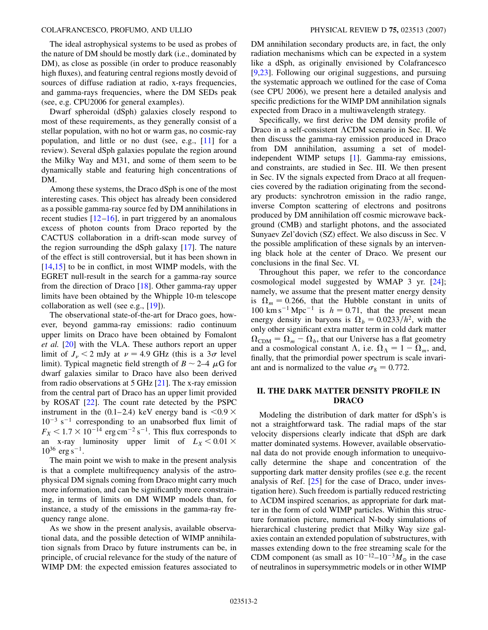#### COLAFRANCESCO, PROFUMO, AND ULLIO PHYSICAL REVIEW D **75,** 023513 (2007)

The ideal astrophysical systems to be used as probes of the nature of DM should be mostly dark (i.e., dominated by DM), as close as possible (in order to produce reasonably high fluxes), and featuring central regions mostly devoid of sources of diffuse radiation at radio, x-rays frequencies, and gamma-rays frequencies, where the DM SEDs peak (see, e.g. CPU2006 for general examples).

Dwarf spheroidal (dSph) galaxies closely respond to most of these requirements, as they generally consist of a stellar population, with no hot or warm gas, no cosmic-ray population, and little or no dust (see, e.g., [\[11\]](#page-19-4) for a review). Several dSph galaxies populate the region around the Milky Way and M31, and some of them seem to be dynamically stable and featuring high concentrations of DM.

Among these systems, the Draco dSph is one of the most interesting cases. This object has already been considered as a possible gamma-ray source fed by DM annihilations in recent studies  $[12–16]$  $[12–16]$  $[12–16]$ , in part triggered by an anomalous excess of photon counts from Draco reported by the CACTUS collaboration in a drift-scan mode survey of the region surrounding the dSph galaxy [\[17\]](#page-19-7). The nature of the effect is still controversial, but it has been shown in [\[14](#page-19-8)[,15\]](#page-19-9) to be in conflict, in most WIMP models, with the EGRET null-result in the search for a gamma-ray source from the direction of Draco [[18](#page-19-10)]. Other gamma-ray upper limits have been obtained by the Whipple 10-m telescope collaboration as well (see e.g., [\[19\]](#page-19-11)).

The observational state-of-the-art for Draco goes, however, beyond gamma-ray emissions: radio continuum upper limits on Draco have been obtained by Fomalont *et al.* [[20](#page-19-12)] with the VLA. These authors report an upper limit of  $J_{\nu}$  < 2 mJy at  $\nu$  = 4.9 GHz (this is a  $3\sigma$  level limit). Typical magnetic field strength of  $B \sim 2-4$   $\mu$ G for dwarf galaxies similar to Draco have also been derived from radio observations at 5 GHz [[21\]](#page-19-13). The x-ray emission from the central part of Draco has an upper limit provided by ROSAT [\[22\]](#page-19-14). The count rate detected by the PSPC instrument in the (0.1–2.4) keV energy band is  $\langle 0.9 \times$  $10^{-3}$  s<sup>-1</sup> corresponding to an unabsorbed flux limit of  $F_X$  < 1.7  $\times$  10<sup>-14</sup> erg cm<sup>-2</sup> s<sup>-1</sup>. This flux corresponds to an x-ray luminosity upper limit of  $L_X < 0.01 \times$  $10^{36}$  erg s<sup>-1</sup>.

The main point we wish to make in the present analysis is that a complete multifrequency analysis of the astrophysical DM signals coming from Draco might carry much more information, and can be significantly more constraining, in terms of limits on DM WIMP models than, for instance, a study of the emissions in the gamma-ray frequency range alone.

As we show in the present analysis, available observational data, and the possible detection of WIMP annihilation signals from Draco by future instruments can be, in principle, of crucial relevance for the study of the nature of WIMP DM: the expected emission features associated to DM annihilation secondary products are, in fact, the only radiation mechanisms which can be expected in a system like a dSph, as originally envisioned by Colafrancesco [\[9,](#page-19-2)[23\]](#page-19-15). Following our original suggestions, and pursuing the systematic approach we outlined for the case of Coma (see CPU 2006), we present here a detailed analysis and specific predictions for the WIMP DM annihilation signals expected from Draco in a multiwavelength strategy.

Specifically, we first derive the DM density profile of Draco in a self-consistent  $\Lambda$ CDM scenario in Sec. II. We then discuss the gamma-ray emission produced in Draco from DM annihilation, assuming a set of modelindependent WIMP setups [[1\]](#page-18-0). Gamma-ray emissions, and constraints, are studied in Sec. III. We then present in Sec. IV the signals expected from Draco at all frequencies covered by the radiation originating from the secondary products: synchrotron emission in the radio range, inverse Compton scattering of electrons and positrons produced by DM annihilation off cosmic microwave background (CMB) and starlight photons, and the associated Sunyaev Zel'dovich (SZ) effect. We also discuss in Sec. V the possible amplification of these signals by an intervening black hole at the center of Draco. We present our conclusions in the final Sec. VI.

Throughout this paper, we refer to the concordance cosmological model suggested by WMAP 3 yr. [\[24\]](#page-19-16); namely, we assume that the present matter energy density is  $\Omega_m = 0.266$ , that the Hubble constant in units of 100 km s<sup>-1</sup> Mpc<sup>-1</sup> is  $h = 0.71$ , that the present mean energy density in baryons is  $\Omega_b = 0.0233/h^2$ , with the only other significant extra matter term in cold dark matter  $\Omega_{\text{CDM}} = \Omega_m - \Omega_b$ , that our Universe has a flat geometry and a cosmological constant  $\Lambda$ , i.e.  $\Omega_{\Lambda} = 1 - \Omega_m$ , and, finally, that the primordial power spectrum is scale invariant and is normalized to the value  $\sigma_8 = 0.772$ .

## **II. THE DARK MATTER DENSITY PROFILE IN DRACO**

Modeling the distribution of dark matter for dSph's is not a straightforward task. The radial maps of the star velocity dispersions clearly indicate that dSph are dark matter dominated systems. However, available observational data do not provide enough information to unequivocally determine the shape and concentration of the supporting dark matter density profiles (see e.g. the recent analysis of Ref. [\[25\]](#page-19-17) for the case of Draco, under investigation here). Such freedom is partially reduced restricting to  $\Lambda$ CDM inspired scenarios, as appropriate for dark matter in the form of cold WIMP particles. Within this structure formation picture, numerical N-body simulations of hierarchical clustering predict that Milky Way size galaxies contain an extended population of substructures, with masses extending down to the free streaming scale for the CDM component (as small as  $10^{-12}$ – $10^{-3}$ *M*<sub>o</sub> in the case of neutralinos in supersymmetric models or in other WIMP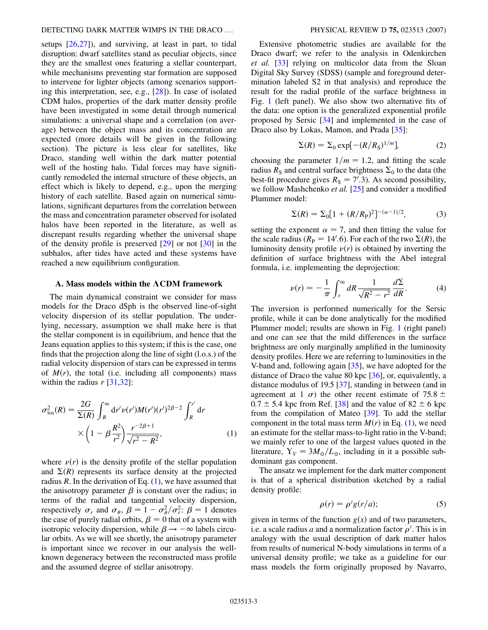setups [[26,](#page-19-18)[27](#page-19-19)]), and surviving, at least in part, to tidal disruption: dwarf satellites stand as peculiar objects, since they are the smallest ones featuring a stellar counterpart, while mechanisms preventing star formation are supposed to intervene for lighter objects (among scenarios supporting this interpretation, see, e.g., [[28](#page-19-20)]). In case of isolated CDM halos, properties of the dark matter density profile have been investigated in some detail through numerical simulations: a universal shape and a correlation (on average) between the object mass and its concentration are expected (more details will be given in the following section). The picture is less clear for satellites, like Draco, standing well within the dark matter potential well of the hosting halo. Tidal forces may have significantly remodeled the internal structure of these objects, an effect which is likely to depend, e.g., upon the merging history of each satellite. Based again on numerical simulations, significant departures from the correlation between the mass and concentration parameter observed for isolated halos have been reported in the literature, as well as discrepant results regarding whether the universal shape of the density profile is preserved [\[29\]](#page-19-21) or not [[30](#page-19-22)] in the subhalos, after tides have acted and these systems have reached a new equilibrium configuration.

### **A. Mass models within the CDM framework**

The main dynamical constraint we consider for mass models for the Draco dSph is the observed line-of-sight velocity dispersion of its stellar population. The underlying, necessary, assumption we shall make here is that the stellar component is in equilibrium, and hence that the Jeans equation applies to this system; if this is the case, one finds that the projection along the line of sight (l.o.s.) of the radial velocity dispersion of stars can be expressed in terms of  $M(r)$ , the total (i.e. including all components) mass within the radius  $r$  [\[31](#page-19-23)[,32\]](#page-19-24):

<span id="page-2-0"></span>
$$
\sigma_{\rm los}^2(R) = \frac{2G}{\Sigma(R)} \int_R^{\infty} dr' \nu(r') M(r') (r')^{2\beta - 2} \int_R^{r'} dr
$$

$$
\times \left(1 - \beta \frac{R^2}{r^2}\right) \frac{r^{-2\beta + 1}}{\sqrt{r^2 - R^2}},\tag{1}
$$

where  $\nu(r)$  is the density profile of the stellar population and  $\Sigma(R)$  represents its surface density at the projected radius  $R$ . In the derivation of Eq.  $(1)$  $(1)$ , we have assumed that the anisotropy parameter  $\beta$  is constant over the radius; in terms of the radial and tangential velocity dispersion, respectively  $\sigma_r$  and  $\sigma_\theta$ ,  $\beta = 1 - \frac{\sigma_\theta^2}{\sigma_r^2}$ :  $\beta = 1$  denotes the case of purely radial orbits,  $\beta = 0$  that of a system with isotropic velocity dispersion, while  $\beta \rightarrow -\infty$  labels circular orbits. As we will see shortly, the anisotropy parameter is important since we recover in our analysis the wellknown degeneracy between the reconstructed mass profile and the assumed degree of stellar anisotropy.

Extensive photometric studies are available for the Draco dwarf; we refer to the analysis in Odenkirchen *et al.* [\[33\]](#page-19-25) relying on multicolor data from the Sloan Digital Sky Survey (SDSS) (sample and foreground determination labeled S2 in that analysis) and reproduce the result for the radial profile of the surface brightness in Fig. [1](#page-3-0) (left panel). We also show two alternative fits of the data: one option is the generalized exponential profile proposed by Sersic [[34](#page-19-26)] and implemented in the case of Draco also by Lokas, Mamon, and Prada [[35](#page-19-27)]:

$$
\Sigma(R) = \Sigma_0 \exp[-(R/R_S)^{1/m}], \tag{2}
$$

choosing the parameter  $1/m = 1.2$ , and fitting the scale radius  $R<sub>S</sub>$  and central surface brightness  $\Sigma<sub>0</sub>$  to the data (the best-fit procedure gives  $R_{\rm S} = 7^{\prime}.3$ . As second possibility, we follow Mashchenko *et al.* [[25](#page-19-17)] and consider a modified Plummer model:

$$
\Sigma(R) = \Sigma_0 [1 + (R/R_P)^2]^{-(\alpha - 1)/2}, \tag{3}
$$

setting the exponent  $\alpha = 7$ , and then fitting the value for the scale radius ( $R_P = 14'$ .6). For each of the two  $\Sigma(R)$ , the luminosity density profile  $\nu(r)$  is obtained by inverting the definition of surface brightness with the Abel integral formula, i.e. implementing the deprojection:

$$
\nu(r) = -\frac{1}{\pi} \int_{r}^{\infty} dR \frac{1}{\sqrt{R^2 - r^2}} \frac{d\Sigma}{dR}.
$$
 (4)

The inversion is performed numerically for the Sersic profile, while it can be done analytically for the modified Plummer model; results are shown in Fig. [1](#page-3-0) (right panel) and one can see that the mild differences in the surface brightness are only marginally amplified in the luminosity density profiles. Here we are referring to luminosities in the V-band and, following again [\[35\]](#page-19-27), we have adopted for the distance of Draco the value 80 kpc [\[36\]](#page-19-28), or, equivalently, a distance modulus of 19.5 [\[37\]](#page-19-29), standing in between (and in agreement at 1  $\sigma$ ) the other recent estimate of 75.8  $\pm$  $0.7 \pm 5.4$  kpc from Ref. [[38](#page-19-30)] and the value of 82  $\pm$  6 kpc from the compilation of Mateo [\[39\]](#page-19-31). To add the stellar component in the total mass term  $M(r)$  in Eq. ([1\)](#page-2-0), we need an estimate for the stellar mass-to-light ratio in the V-band; we mainly refer to one of the largest values quoted in the literature,  $Y_V = 3M_{\odot}/L_{\odot}$ , including in it a possible subdominant gas component.

The ansatz we implement for the dark matter component is that of a spherical distribution sketched by a radial density profile:

$$
\rho(r) = \rho' g(r/a); \tag{5}
$$

given in terms of the function  $g(x)$  and of two parameters, i.e. a scale radius *a* and a normalization factor  $\rho'$ . This is in analogy with the usual description of dark matter halos from results of numerical N-body simulations in terms of a universal density profile; we take as a guideline for our mass models the form originally proposed by Navarro,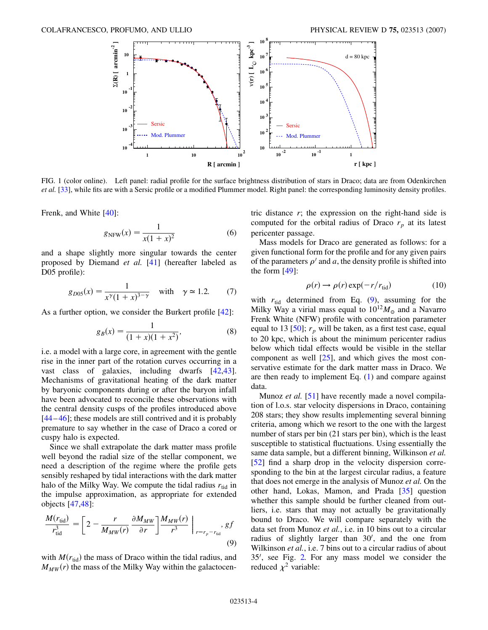<span id="page-3-0"></span>

FIG. 1 (color online). Left panel: radial profile for the surface brightness distribution of stars in Draco; data are from Odenkirchen *et al.* [\[33](#page-19-25)], while fits are with a Sersic profile or a modified Plummer model. Right panel: the corresponding luminosity density profiles.

Frenk, and White [\[40\]](#page-19-32):

$$
g_{\text{NFW}}(x) = \frac{1}{x(1+x)^2} \tag{6}
$$

and a shape slightly more singular towards the center proposed by Diemand *et al.* [\[41\]](#page-19-33) (hereafter labeled as D05 profile):

$$
g_{D05}(x) = \frac{1}{x^{\gamma}(1+x)^{3-\gamma}} \quad \text{with} \quad \gamma \simeq 1.2. \tag{7}
$$

As a further option, we consider the Burkert profile [[42](#page-19-34)]:

$$
g_B(x) = \frac{1}{(1+x)(1+x^2)},
$$
\n(8)

i.e. a model with a large core, in agreement with the gentle rise in the inner part of the rotation curves occurring in a vast class of galaxies, including dwarfs [\[42](#page-19-34)[,43\]](#page-19-35). Mechanisms of gravitational heating of the dark matter by baryonic components during or after the baryon infall have been advocated to reconcile these observations with the central density cusps of the profiles introduced above  $[44-46]$  $[44-46]$  $[44-46]$ ; these models are still contrived and it is probably premature to say whether in the case of Draco a cored or cuspy halo is expected.

Since we shall extrapolate the dark matter mass profile well beyond the radial size of the stellar component, we need a description of the regime where the profile gets sensibly reshaped by tidal interactions with the dark matter halo of the Milky Way. We compute the tidal radius  $r_{tid}$  in the impulse approximation, as appropriate for extended objects [\[47,](#page-19-38)[48\]](#page-19-39):

<span id="page-3-1"></span>
$$
\frac{M(r_{\text{tid}})}{r_{\text{tid}}^3} = \left[2 - \frac{r}{M_{MW}(r)} \frac{\partial M_{MW}}{\partial r}\right] \frac{M_{MW}(r)}{r^3} \bigg|_{r=r_p-r_{\text{tid}}}, gf
$$
\n(9)

with  $M(r_{tid})$  the mass of Draco within the tidal radius, and  $M_{MW}(r)$  the mass of the Milky Way within the galactocentric distance *r*; the expression on the right-hand side is computed for the orbital radius of Draco  $r_p$  at its latest pericenter passage.

Mass models for Draco are generated as follows: for a given functional form for the profile and for any given pairs of the parameters  $\rho'$  and  $a$ , the density profile is shifted into the form [[49](#page-19-40)]:

$$
\rho(r) \to \rho(r) \exp(-r/r_{\rm tid}) \tag{10}
$$

<span id="page-3-2"></span>with  $r_{tid}$  determined from Eq.  $(9)$  $(9)$ , assuming for the Milky Way a virial mass equal to  $10^{12}M_{\odot}$  and a Navarro Frenk White (NFW) profile with concentration parameter equal to 13 [[50](#page-19-41)];  $r_p$  will be taken, as a first test case, equal to 20 kpc, which is about the minimum pericenter radius below which tidal effects would be visible in the stellar component as well  $[25]$ , and which gives the most conservative estimate for the dark matter mass in Draco. We are then ready to implement Eq. [\(1](#page-2-0)) and compare against data.

Munoz *et al.* [\[51\]](#page-19-42) have recently made a novel compilation of l.o.s. star velocity dispersions in Draco, containing 208 stars; they show results implementing several binning criteria, among which we resort to the one with the largest number of stars per bin (21 stars per bin), which is the least susceptible to statistical fluctuations. Using essentially the same data sample, but a different binning, Wilkinson *et al.* [\[52\]](#page-19-43) find a sharp drop in the velocity dispersion corresponding to the bin at the largest circular radius, a feature that does not emerge in the analysis of Munoz *et al.* On the other hand, Lokas, Mamon, and Prada [\[35\]](#page-19-27) question whether this sample should be further cleaned from outliers, i.e. stars that may not actually be gravitationally bound to Draco. We will compare separately with the data set from Munoz *et al.*, i.e. in 10 bins out to a circular radius of slightly larger than 30', and the one from Wilkinson *et al.*, i.e. 7 bins out to a circular radius of about 35', see Fig. [2.](#page-4-0) For any mass model we consider the reduced  $\chi^2$  variable: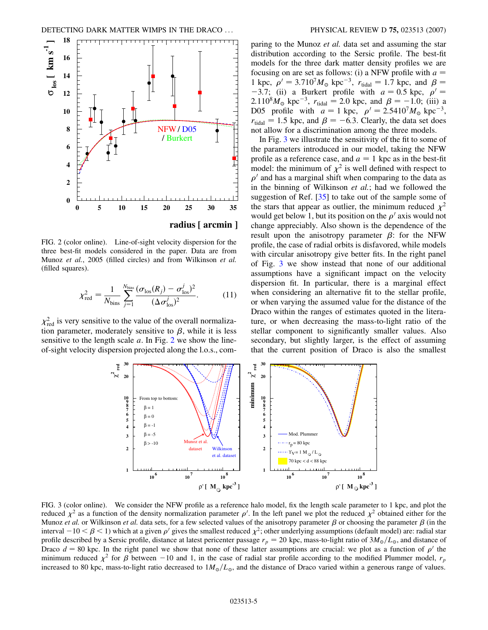<span id="page-4-0"></span>

**radius [ arcmin ]**

FIG. 2 (color online). Line-of-sight velocity dispersion for the three best-fit models considered in the paper. Data are from Munoz *et al.*, 2005 (filled circles) and from Wilkinson *et al.* (filled squares).

$$
\chi_{\text{red}}^2 = \frac{1}{N_{\text{bins}}} \sum_{j=1}^{N_{\text{bins}}} \frac{(\sigma_{\text{los}}(R_j) - \sigma_{\text{los}}^j)^2}{(\Delta \sigma_{\text{los}}^j)^2}.
$$
 (11)

<span id="page-4-1"></span> $\chi^2_{\text{red}}$  is very sensitive to the value of the overall normalization parameter, moderately sensitive to  $\beta$ , while it is less sensitive to the length scale *a*. In Fig. [2](#page-4-0) we show the lineof-sight velocity dispersion projected along the l.o.s., com-

paring to the Munoz *et al.* data set and assuming the star distribution according to the Sersic profile. The best-fit models for the three dark matter density profiles we are focusing on are set as follows: (i) a NFW profile with  $a =$ 1 kpc,  $\rho' = 3.710^7 M_{\odot} \text{ kpc}^{-3}$ ,  $r_{\text{tidal}} = 1.7 \text{ kpc}$ , and  $\beta =$  $-3.7$ ; (ii) a Burkert profile with  $a = 0.5$  kpc,  $\rho' =$ 2.110<sup>8</sup> $M_{\odot}$  kpc<sup>-3</sup>,  $r_{\text{tidal}} = 2.0$  kpc, and  $\beta = -1.0$ ; (iii) a D05 profile with  $a = 1$  kpc,  $\rho' = 2.5410^7 M_{\odot}$  kpc<sup>-3</sup>.  $r_{\text{tidal}} = 1.5$  kpc, and  $\beta = -6.3$ . Clearly, the data set does not allow for a discrimination among the three models.

In Fig. [3](#page-4-1) we illustrate the sensitivity of the fit to some of the parameters introduced in our model, taking the NFW profile as a reference case, and  $a = 1$  kpc as in the best-fit model: the minimum of  $\chi^2$  is well defined with respect to  $\rho'$  and has a marginal shift when comparing to the data as in the binning of Wilkinson *et al.*; had we followed the suggestion of Ref.  $[35]$  to take out of the sample some of the stars that appear as outlier, the minimum reduced  $\chi^2$ would get below 1, but its position on the  $\rho'$  axis would not change appreciably. Also shown is the dependence of the result upon the anisotropy parameter  $\beta$ : for the NFW profile, the case of radial orbits is disfavored, while models with circular anisotropy give better fits. In the right panel of Fig. [3](#page-4-1) we show instead that none of our additional assumptions have a significant impact on the velocity dispersion fit. In particular, there is a marginal effect when considering an alternative fit to the stellar profile, or when varying the assumed value for the distance of the Draco within the ranges of estimates quoted in the literature, or when decreasing the mass-to-light ratio of the stellar component to significantly smaller values. Also secondary, but slightly larger, is the effect of assuming that the current position of Draco is also the smallest



FIG. 3 (color online). We consider the NFW profile as a reference halo model, fix the length scale parameter to 1 kpc, and plot the reduced  $\chi^2$  as a function of the density normalization parameter  $\rho'$ . In the left panel we plot the reduced  $\chi^2$  obtained either for the Munoz *et al.* or Wilkinson *et al.* data sets, for a few selected values of the anisotropy parameter  $\beta$  or choosing the parameter  $\beta$  (in the interval  $-10 < \beta < 1$ ) which at a given  $\rho'$  gives the smallest reduced  $\chi^2$ ; other underlying assumptions (default model) are: radial star profile described by a Sersic profile, distance at latest pericenter passage  $r_p = 20$  kpc, mass-to-light ratio of  $3M_{\odot}/L_{\odot}$ , and distance of Draco  $d = 80$  kpc. In the right panel we show that none of these latter assumptions are crucial: we plot as a function of  $\rho'$  the minimum reduced  $\chi^2$  for  $\beta$  between -10 and 1, in the case of radial star profile according to the modified Plummer model,  $r_p$ increased to 80 kpc, mass-to-light ratio decreased to  $1M_{\odot}/L_{\odot}$ , and the distance of Draco varied within a generous range of values.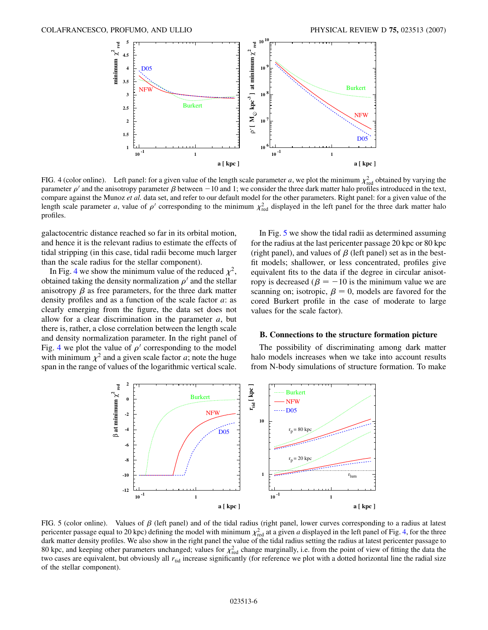<span id="page-5-0"></span>

FIG. 4 (color online). Left panel: for a given value of the length scale parameter *a*, we plot the minimum  $\chi^2_{\text{red}}$  obtained by varying the parameter  $\rho'$  and the anisotropy parameter  $\beta$  between  $-10$  and 1; we consider the three dark matter halo profiles introduced in the text, compare against the Munoz *et al.* data set, and refer to our default model for the other parameters. Right panel: for a given value of the length scale parameter *a*, value of  $\rho'$  corresponding to the minimum  $\chi^2_{\text{red}}$  displayed in the left panel for the three dark matter halo profiles.

galactocentric distance reached so far in its orbital motion, and hence it is the relevant radius to estimate the effects of tidal stripping (in this case, tidal radii become much larger than the scale radius for the stellar component).

In Fig. [4](#page-5-0) we show the minimum value of the reduced  $\chi^2$ , obtained taking the density normalization  $\rho'$  and the stellar anisotropy  $\beta$  as free parameters, for the three dark matter density profiles and as a function of the scale factor *a*: as clearly emerging from the figure, the data set does not allow for a clear discrimination in the parameter *a*, but there is, rather, a close correlation between the length scale and density normalization parameter. In the right panel of Fig. [4](#page-5-0) we plot the value of  $\rho'$  corresponding to the model with minimum  $\chi^2$  and a given scale factor *a*; note the huge span in the range of values of the logarithmic vertical scale.

In Fig. [5](#page-5-1) we show the tidal radii as determined assuming for the radius at the last pericenter passage 20 kpc or 80 kpc (right panel), and values of  $\beta$  (left panel) set as in the bestfit models; shallower, or less concentrated, profiles give equivalent fits to the data if the degree in circular anisotropy is decreased ( $\beta = -10$  is the minimum value we are scanning on; isotropic,  $\beta = 0$ , models are favored for the cored Burkert profile in the case of moderate to large values for the scale factor).

#### **B. Connections to the structure formation picture**

The possibility of discriminating among dark matter halo models increases when we take into account results from N-body simulations of structure formation. To make

<span id="page-5-1"></span>

FIG. 5 (color online). Values of  $\beta$  (left panel) and of the tidal radius (right panel, lower curves corresponding to a radius at latest pericenter passage equal to 20 kpc) defining the model with minimum  $\chi^2_{\rm red}$  at a given *a* displayed in the left panel of Fig. [4,](#page-5-0) for the three dark matter density profiles. We also show in the right panel the value of the tidal radius setting the radius at latest pericenter passage to 80 kpc, and keeping other parameters unchanged; values for  $\chi^2_{\text{red}}$  change marginally, i.e. from the point of view of fitting the data the two cases are equivalent, but obviously all  $r_{tid}$  increase significantly (for reference we plot with a dotted horizontal line the radial size of the stellar component).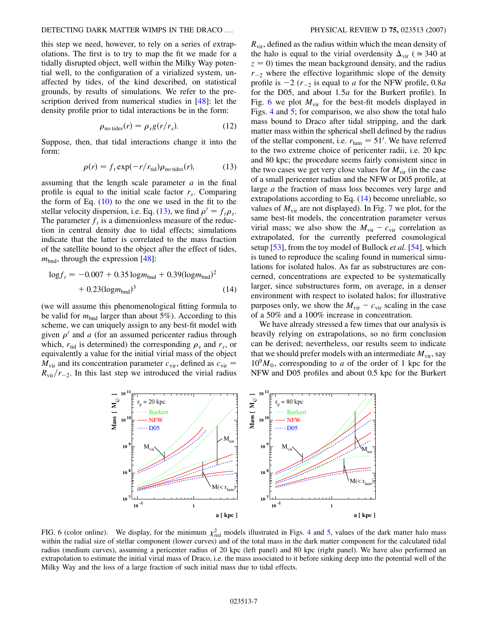#### DETECTING DARK MATTER WIMPS IN THE DRACO ... PHYSICAL REVIEW D **75,** 023513 (2007)

this step we need, however, to rely on a series of extrapolations. The first is to try to map the fit we made for a tidally disrupted object, well within the Milky Way potential well, to the configuration of a virialized system, unaffected by tides, of the kind described, on statistical grounds, by results of simulations. We refer to the prescription derived from numerical studies in [\[48\]](#page-19-39): let the density profile prior to tidal interactions be in the form:

$$
\rho_{\text{no tides}}(r) = \rho_s g(r/r_s). \tag{12}
$$

<span id="page-6-0"></span>Suppose, then, that tidal interactions change it into the form:

$$
\rho(r) = f_t \exp(-r/r_{\rm tid}) \rho_{\rm no \, tides}(r),\tag{13}
$$

assuming that the length scale parameter *a* in the final profile is equal to the initial scale factor  $r<sub>s</sub>$ . Comparing the form of Eq.  $(10)$  $(10)$  $(10)$  to the one we used in the fit to the stellar velocity dispersion, i.e. Eq. ([13](#page-6-0)), we find  $\rho' = f_t \rho_s$ . The parameter  $f_t$  is a dimensionless measure of the reduction in central density due to tidal effects; simulations indicate that the latter is correlated to the mass fraction of the satellite bound to the object after the effect of tides,  $m_{\text{bnd}}$ , through the expression [[48](#page-19-39)]:

<span id="page-6-2"></span>
$$
\log f_t = -0.007 + 0.35 \log m_{\text{bnd}} + 0.39 (\log m_{\text{bnd}})^2
$$
  
+ 0.23( $\log m_{\text{bnd}}$ )<sup>3</sup> (14)

(we will assume this phenomenological fitting formula to be valid for  $m_{\text{bnd}}$  larger than about 5%). According to this scheme, we can uniquely assign to any best-fit model with given  $\rho'$  and *a* (for an assumed pericenter radius through which,  $r_{tid}$  is determined) the corresponding  $\rho_s$  and  $r_s$ , or equivalently a value for the initial virial mass of the object  $M_{\text{vir}}$  and its concentration parameter  $c_{\text{vir}}$ , defined as  $c_{\text{vir}}$  =  $R_{\rm vir}/r_{-2}$ . In this last step we introduced the virial radius  $R_{\text{vir}}$ , defined as the radius within which the mean density of the halo is equal to the virial overdensity  $\Delta_{\rm vir}$  (  $\simeq$  340 at  $z = 0$ ) times the mean background density, and the radius  $r_{-2}$  where the effective logarithmic slope of the density profile is  $-2$  ( $r_{-2}$  is equal to *a* for the NFW profile, 0*:8a* for the D05, and about 1*:*5*a* for the Burkert profile). In Fig. [6](#page-6-1) we plot  $M_{\text{vir}}$  for the best-fit models displayed in Figs. [4](#page-5-0) and [5;](#page-5-1) for comparison, we also show the total halo mass bound to Draco after tidal stripping, and the dark matter mass within the spherical shell defined by the radius of the stellar component, i.e.  $r_{\text{lum}} = 51'$ . We have referred to the two extreme choice of pericenter radii, i.e. 20 kpc and 80 kpc; the procedure seems fairly consistent since in the two cases we get very close values for  $M_{\rm vir}$  (in the case of a small pericenter radius and the NFW or D05 profile, at large *a* the fraction of mass loss becomes very large and extrapolations according to Eq. ([14](#page-6-2)) become unreliable, so values of  $M_{\text{vir}}$  are not displayed). In Fig. [7](#page-7-0) we plot, for the same best-fit models, the concentration parameter versus virial mass; we also show the  $M_{\text{vir}} - c_{\text{vir}}$  correlation as extrapolated, for the currently preferred cosmological setup [[53](#page-19-44)], from the toy model of Bullock *et al.* [[54](#page-19-45)], which is tuned to reproduce the scaling found in numerical simulations for isolated halos. As far as substructures are concerned, concentrations are expected to be systematically larger, since substructures form, on average, in a denser environment with respect to isolated halos; for illustrative purposes only, we show the  $M_{\text{vir}} - c_{\text{vir}}$  scaling in the case of a 50% and a 100% increase in concentration.

We have already stressed a few times that our analysis is heavily relying on extrapolations, so no firm conclusion can be derived; nevertheless, our results seem to indicate that we should prefer models with an intermediate  $M_{\text{vir}}$ , say  $10<sup>9</sup>M<sub>o</sub>$ , corresponding to *a* of the order of 1 kpc for the NFW and D05 profiles and about 0.5 kpc for the Burkert

<span id="page-6-1"></span>

FIG. 6 (color online). We display, for the minimum  $\chi^2_{\text{red}}$  models illustrated in Figs. [4](#page-5-0) and [5](#page-5-1), values of the dark matter halo mass within the radial size of stellar component (lower curves) and of the total mass in the dark matter component for the calculated tidal radius (medium curves), assuming a pericenter radius of 20 kpc (left panel) and 80 kpc (right panel). We have also performed an extrapolation to estimate the initial virial mass of Draco, i.e. the mass associated to it before sinking deep into the potential well of the Milky Way and the loss of a large fraction of such initial mass due to tidal effects.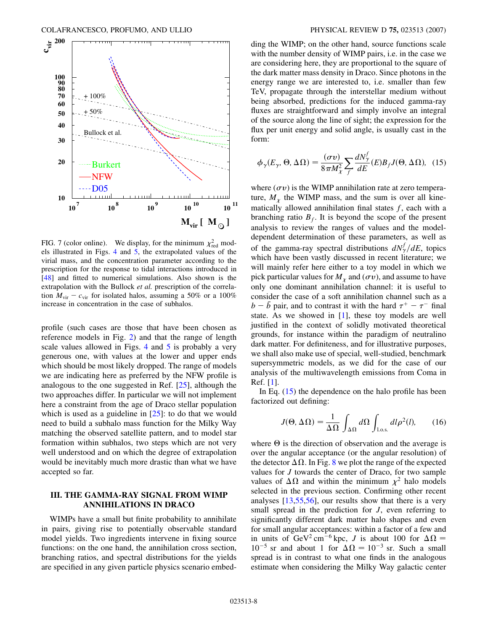<span id="page-7-0"></span>

FIG. 7 (color online). We display, for the minimum  $\chi^2_{\text{red}}$  models illustrated in Figs. [4](#page-5-0) and [5](#page-5-1), the extrapolated values of the virial mass, and the concentration parameter according to the prescription for the response to tidal interactions introduced in [\[48\]](#page-19-39) and fitted to numerical simulations. Also shown is the extrapolation with the Bullock *et al.* prescription of the correlation  $M_{\text{vir}} - c_{\text{vir}}$  for isolated halos, assuming a 50% or a 100% increase in concentration in the case of subhalos.

profile (such cases are those that have been chosen as reference models in Fig. [2](#page-4-0)) and that the range of length scale values allowed in Figs. [4](#page-5-0) and [5](#page-5-1) is probably a very generous one, with values at the lower and upper ends which should be most likely dropped. The range of models we are indicating here as preferred by the NFW profile is analogous to the one suggested in Ref. [\[25\]](#page-19-17), although the two approaches differ. In particular we will not implement here a constraint from the age of Draco stellar population which is used as a guideline in  $[25]$  $[25]$ : to do that we would need to build a subhalo mass function for the Milky Way matching the observed satellite pattern, and to model star formation within subhalos, two steps which are not very well understood and on which the degree of extrapolation would be inevitably much more drastic than what we have accepted so far.

## **III. THE GAMMA-RAY SIGNAL FROM WIMP ANNIHILATIONS IN DRACO**

WIMPs have a small but finite probability to annihilate in pairs, giving rise to potentially observable standard model yields. Two ingredients intervene in fixing source functions: on the one hand, the annihilation cross section, branching ratios, and spectral distributions for the yields are specified in any given particle physics scenario embedding the WIMP; on the other hand, source functions scale with the number density of WIMP pairs, *i.e.* in the case we are considering here, they are proportional to the square of the dark matter mass density in Draco. Since photons in the energy range we are interested to, i.e. smaller than few TeV, propagate through the interstellar medium without being absorbed, predictions for the induced gamma-ray fluxes are straightforward and simply involve an integral of the source along the line of sight; the expression for the flux per unit energy and solid angle, is usually cast in the form:

<span id="page-7-1"></span>
$$
\phi_{\gamma}(E_{\gamma}, \Theta, \Delta\Omega) = \frac{(\sigma v)}{8\pi M_{\chi}^2} \sum_{f} \frac{dN_{\gamma}^f}{dE}(E) B_f J(\Theta, \Delta\Omega), \quad (15)
$$

where  $(\sigma v)$  is the WIMP annihilation rate at zero temperature,  $M_{\chi}$  the WIMP mass, and the sum is over all kinematically allowed annihilation final states *f*, each with a branching ratio  $B_f$ . It is beyond the scope of the present analysis to review the ranges of values and the modeldependent determination of these parameters, as well as of the gamma-ray spectral distributions  $dN_{\gamma}^{f}/dE$ , topics which have been vastly discussed in recent literature; we will mainly refer here either to a toy model in which we pick particular values for  $M_{\chi}$  and  $(\sigma \nu)$ , and assume to have only one dominant annihilation channel: it is useful to consider the case of a soft annihilation channel such as a  $b - \bar{b}$  pair, and to contrast it with the hard  $\tau^+ - \tau^-$  final state. As we showed in [\[1\]](#page-18-0), these toy models are well justified in the context of solidly motivated theoretical grounds, for instance within the paradigm of neutralino dark matter. For definiteness, and for illustrative purposes, we shall also make use of special, well-studied, benchmark supersymmetric models, as we did for the case of our analysis of the multiwavelength emissions from Coma in Ref. [\[1](#page-18-0)].

In Eq. ([15](#page-7-1)) the dependence on the halo profile has been factorized out defining:

$$
J(\Theta, \Delta\Omega) = \frac{1}{\Delta\Omega} \int_{\Delta\Omega} d\Omega \int_{\text{Lo.s.}} dl \rho^2(l), \qquad (16)
$$

where  $\Theta$  is the direction of observation and the average is over the angular acceptance (or the angular resolution) of the detector  $\Delta\Omega$ . In Fig. [8](#page-8-0) we plot the range of the expected values for *J* towards the center of Draco, for two sample values of  $\Delta\Omega$  and within the minimum  $\chi^2$  halo models selected in the previous section. Confirming other recent analyses [[13](#page-19-46),[55](#page-19-47),[56](#page-19-48)], our results show that there is a very small spread in the prediction for *J*, even referring to significantly different dark matter halo shapes and even for small angular acceptances: within a factor of a few and in units of GeV<sup>2</sup> cm<sup>-6</sup> kpc, *J* is about 100 for  $\Delta \Omega$  =  $10^{-5}$  sr and about 1 for  $\Delta \Omega = 10^{-3}$  sr. Such a small spread is in contrast to what one finds in the analogous estimate when considering the Milky Way galactic center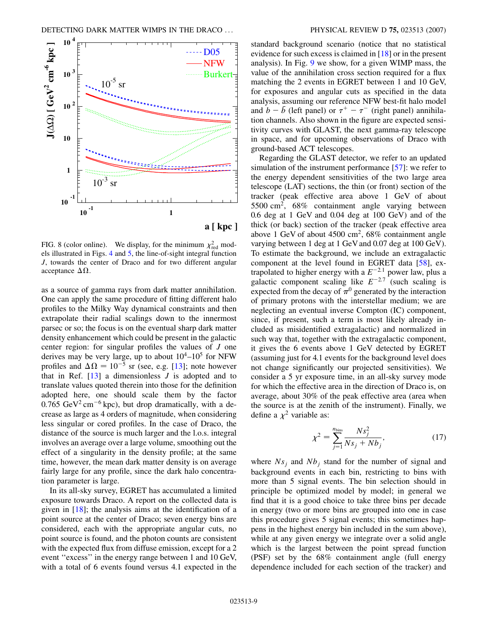<span id="page-8-0"></span>

FIG. 8 (color online). We display, for the minimum  $\chi^2_{\text{red}}$  models illustrated in Figs. [4](#page-5-0) and [5](#page-5-1), the line-of-sight integral function *J*, towards the center of Draco and for two different angular acceptance  $\Delta\Omega$ .

as a source of gamma rays from dark matter annihilation. One can apply the same procedure of fitting different halo profiles to the Milky Way dynamical constraints and then extrapolate their radial scalings down to the innermost parsec or so; the focus is on the eventual sharp dark matter density enhancement which could be present in the galactic center region: for singular profiles the values of *J* one derives may be very large, up to about  $10^4$ – $10^5$  for NFW profiles and  $\Delta \Omega = 10^{-5}$  sr (see, e.g. [[13](#page-19-46)]; note however that in Ref.  $[13]$  $[13]$  a dimensionless  $J$  is adopted and to translate values quoted therein into those for the definition adopted here, one should scale them by the factor  $0.765 \text{ GeV}^2 \text{ cm}^{-6} \text{ kpc}$ , but drop dramatically, with a decrease as large as 4 orders of magnitude, when considering less singular or cored profiles. In the case of Draco, the distance of the source is much larger and the l.o.s. integral involves an average over a large volume, smoothing out the effect of a singularity in the density profile; at the same time, however, the mean dark matter density is on average fairly large for any profile, since the dark halo concentration parameter is large.

In its all-sky survey, EGRET has accumulated a limited exposure towards Draco. A report on the collected data is given in [\[18\]](#page-19-10); the analysis aims at the identification of a point source at the center of Draco; seven energy bins are considered, each with the appropriate angular cuts, no point source is found, and the photon counts are consistent with the expected flux from diffuse emission, except for a 2 event ''excess'' in the energy range between 1 and 10 GeV, with a total of 6 events found versus 4.1 expected in the standard background scenario (notice that no statistical evidence for such excess is claimed in [[18](#page-19-10)] or in the present analysis). In Fig. [9](#page-9-0) we show, for a given WIMP mass, the value of the annihilation cross section required for a flux matching the 2 events in EGRET between 1 and 10 GeV, for exposures and angular cuts as specified in the data analysis, assuming our reference NFW best-fit halo model and  $b - b$  (left panel) or  $\tau^+ - \tau^-$  (right panel) annihilation channels. Also shown in the figure are expected sensitivity curves with GLAST, the next gamma-ray telescope in space, and for upcoming observations of Draco with ground-based ACT telescopes.

Regarding the GLAST detector, we refer to an updated simulation of the instrument performance [\[57\]](#page-19-49): we refer to the energy dependent sensitivities of the two large area telescope (LAT) sections, the thin (or front) section of the tracker (peak effective area above 1 GeV of about 5500 cm2, 68% containment angle varying between 0.6 deg at 1 GeV and 0.04 deg at 100 GeV) and of the thick (or back) section of the tracker (peak effective area above 1 GeV of about 4500 cm2, 68% containment angle varying between 1 deg at 1 GeV and 0.07 deg at 100 GeV). To estimate the background, we include an extragalactic component at the level found in EGRET data [[58](#page-19-50)], extrapolated to higher energy with a  $E^{-2.1}$  power law, plus a galactic component scaling like  $E^{-2.7}$  (such scaling is expected from the decay of  $\pi^0$  generated by the interaction of primary protons with the interstellar medium; we are neglecting an eventual inverse Compton (IC) component, since, if present, such a term is most likely already included as misidentified extragalactic) and normalized in such way that, together with the extragalactic component, it gives the 6 events above 1 GeV detected by EGRET (assuming just for 4.1 events for the background level does not change significantly our projected sensitivities). We consider a 5 yr exposure time, in an all-sky survey mode for which the effective area in the direction of Draco is, on average, about 30% of the peak effective area (area when the source is at the zenith of the instrument). Finally, we define a  $\chi^2$  variable as:

$$
\chi^2 = \sum_{j=1}^{n_{\text{bins}}} \frac{Ns_j^2}{Ns_j + Nb_j},\tag{17}
$$

<span id="page-8-1"></span>where  $Ns_j$  and  $Nb_j$  stand for the number of signal and background events in each bin, restricting to bins with more than 5 signal events. The bin selection should in principle be optimized model by model; in general we find that it is a good choice to take three bins per decade in energy (two or more bins are grouped into one in case this procedure gives 5 signal events; this sometimes happens in the highest energy bin included in the sum above), while at any given energy we integrate over a solid angle which is the largest between the point spread function (PSF) set by the 68% containment angle (full energy dependence included for each section of the tracker) and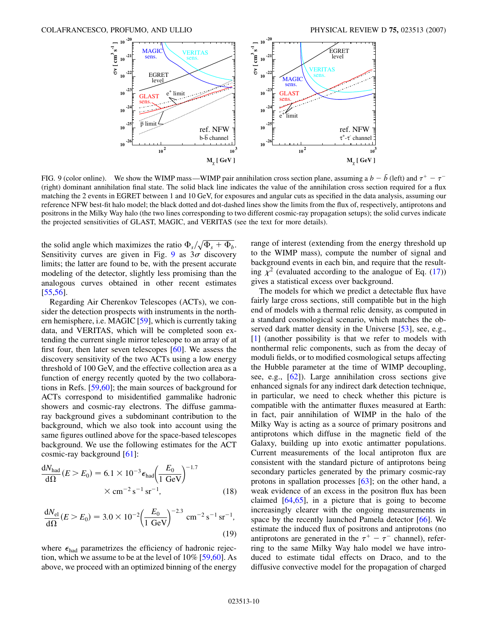<span id="page-9-0"></span>

FIG. 9 (color online). We show the WIMP mass—WIMP pair annihilation cross section plane, assuming a  $b - \bar{b}$  (left) and  $\tau^+ - \tau^-$ (right) dominant annihilation final state. The solid black line indicates the value of the annihilation cross section required for a flux matching the 2 events in EGRET between 1 and 10 GeV, for exposures and angular cuts as specified in the data analysis, assuming our reference NFW best-fit halo model; the black dotted and dot-dashed lines show the limits from the flux of, respectively, antiprotons and positrons in the Milky Way halo (the two lines corresponding to two different cosmic-ray propagation setups); the solid curves indicate the projected sensitivities of GLAST, MAGIC, and VERITAS (see the text for more details).

the solid angle which maximizes the ratio  $\Phi_s / \sqrt{\Phi_s + \Phi_b}$ . Sensitivity curves are given in Fig. [9](#page-9-0) as  $3\sigma$  discovery limits; the latter are found to be, with the present accurate modeling of the detector, slightly less promising than the analogous curves obtained in other recent estimates [\[55](#page-19-47)[,56\]](#page-19-48).

Regarding Air Cherenkov Telescopes (ACTs), we consider the detection prospects with instruments in the northern hemisphere, i.e. MAGIC [\[59\]](#page-19-51), which is currently taking data, and VERITAS, which will be completed soon extending the current single mirror telescope to an array of at first four, then later seven telescopes [\[60\]](#page-19-52). We assess the discovery sensitivity of the two ACTs using a low energy threshold of 100 GeV, and the effective collection area as a function of energy recently quoted by the two collaborations in Refs. [\[59](#page-19-51)[,60\]](#page-19-52); the main sources of background for ACTs correspond to misidentified gammalike hadronic showers and cosmic-ray electrons. The diffuse gammaray background gives a subdominant contribution to the background, which we also took into account using the same figures outlined above for the space-based telescopes background. We use the following estimates for the ACT cosmic-ray background [[61\]](#page-19-53):

$$
\frac{dN_{\text{had}}}{d\Omega}(E > E_0) = 6.1 \times 10^{-3} \epsilon_{\text{had}} \left(\frac{E_0}{1 \text{ GeV}}\right)^{-1.7} \times \text{cm}^{-2} \text{ s}^{-1} \text{ sr}^{-1},\tag{18}
$$

$$
\frac{dN_{\rm el}}{d\Omega}(E > E_0) = 3.0 \times 10^{-2} \left(\frac{E_0}{1 \text{ GeV}}\right)^{-2.3} \text{ cm}^{-2} \text{ s}^{-1} \text{ sr}^{-1},\tag{19}
$$

where  $\epsilon_{\text{had}}$  parametrizes the efficiency of hadronic rejection, which we assume to be at the level of 10% [[59](#page-19-51),[60](#page-19-52)]. As above, we proceed with an optimized binning of the energy range of interest (extending from the energy threshold up to the WIMP mass), compute the number of signal and background events in each bin, and require that the resulting  $\chi^2$  (evaluated according to the analogue of Eq. ([17](#page-8-1))) gives a statistical excess over background.

The models for which we predict a detectable flux have fairly large cross sections, still compatible but in the high end of models with a thermal relic density, as computed in a standard cosmological scenario, which matches the observed dark matter density in the Universe [\[53\]](#page-19-44), see, e.g., [\[1\]](#page-18-0) (another possibility is that we refer to models with nonthermal relic components, such as from the decay of moduli fields, or to modified cosmological setups affecting the Hubble parameter at the time of WIMP decoupling, see, e.g., [[62](#page-19-54)]). Large annihilation cross sections give enhanced signals for any indirect dark detection technique, in particular, we need to check whether this picture is compatible with the antimatter fluxes measured at Earth: in fact, pair annihilation of WIMP in the halo of the Milky Way is acting as a source of primary positrons and antiprotons which diffuse in the magnetic field of the Galaxy, building up into exotic antimatter populations. Current measurements of the local antiproton flux are consistent with the standard picture of antiprotons being secondary particles generated by the primary cosmic-ray protons in spallation processes [[63](#page-20-0)]; on the other hand, a weak evidence of an excess in the positron flux has been claimed  $[64,65]$  $[64,65]$ , in a picture that is going to become increasingly clearer with the ongoing measurements in space by the recently launched Pamela detector [\[66\]](#page-20-3). We estimate the induced flux of positrons and antiprotons (no antiprotons are generated in the  $\tau^+ - \tau^-$  channel), referring to the same Milky Way halo model we have introduced to estimate tidal effects on Draco, and to the diffusive convective model for the propagation of charged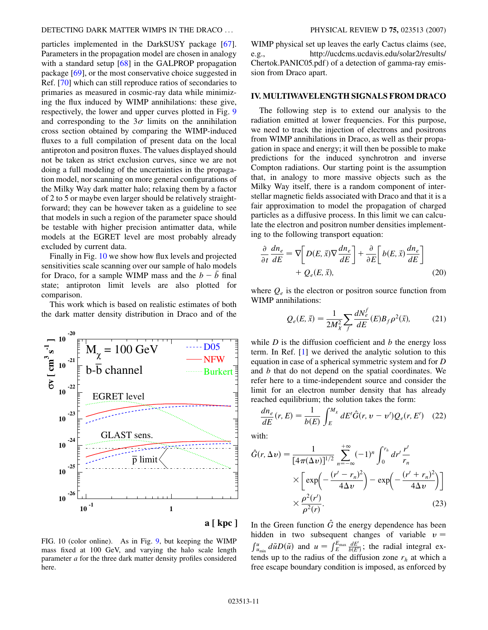particles implemented in the DarkSUSY package [\[67\]](#page-20-4). Parameters in the propagation model are chosen in analogy with a standard setup [[68](#page-20-5)] in the GALPROP propagation package [\[69\]](#page-20-6), or the most conservative choice suggested in Ref. [[70](#page-20-7)] which can still reproduce ratios of secondaries to primaries as measured in cosmic-ray data while minimizing the flux induced by WIMP annihilations: these give, respectively, the lower and upper curves plotted in Fig. [9](#page-9-0) and corresponding to the  $3\sigma$  limits on the annihilation cross section obtained by comparing the WIMP-induced fluxes to a full compilation of present data on the local antiproton and positron fluxes. The values displayed should not be taken as strict exclusion curves, since we are not doing a full modeling of the uncertainties in the propagation model, nor scanning on more general configurations of the Milky Way dark matter halo; relaxing them by a factor of 2 to 5 or maybe even larger should be relatively straightforward; they can be however taken as a guideline to see that models in such a region of the parameter space should be testable with higher precision antimatter data, while models at the EGRET level are most probably already excluded by current data.

Finally in Fig. [10](#page-10-0) we show how flux levels and projected sensitivities scale scanning over our sample of halo models for Draco, for a sample WIMP mass and the  $b - \bar{b}$  final state; antiproton limit levels are also plotted for comparison.

This work which is based on realistic estimates of both the dark matter density distribution in Draco and of the

<span id="page-10-0"></span>

WIMP physical set up leaves the early Cactus claims (see, e.g., http://ucdcms.ucdavis.edu/solar2/results/ Chertok.PANIC05.pdf) of a detection of gamma-ray emission from Draco apart.

# **IV. MULTIWAVELENGTH SIGNALS FROM DRACO**

The following step is to extend our analysis to the radiation emitted at lower frequencies. For this purpose, we need to track the injection of electrons and positrons from WIMP annihilations in Draco, as well as their propagation in space and energy; it will then be possible to make predictions for the induced synchrotron and inverse Compton radiations. Our starting point is the assumption that, in analogy to more massive objects such as the Milky Way itself, there is a random component of interstellar magnetic fields associated with Draco and that it is a fair approximation to model the propagation of charged particles as a diffusive process. In this limit we can calculate the electron and positron number densities implementing to the following transport equation:

$$
\frac{\partial}{\partial t} \frac{dn_e}{dE} = \nabla \bigg[ D(E, \vec{x}) \nabla \frac{dn_e}{dE} \bigg] + \frac{\partial}{\partial E} \bigg[ b(E, \vec{x}) \frac{dn_e}{dE} \bigg] + Q_e(E, \vec{x}), \tag{20}
$$

where  $Q_e$  is the electron or positron source function from WIMP annihilations:

$$
Q_e(E, \vec{x}) = \frac{1}{2M_X^2} \sum_f \frac{dN_e^f}{dE}(E) B_f \rho^2(\vec{x}),
$$
 (21)

while *D* is the diffusion coefficient and *b* the energy loss term. In Ref. [\[1](#page-18-0)] we derived the analytic solution to this equation in case of a spherical symmetric system and for *D* and *b* that do not depend on the spatial coordinates. We refer here to a time-independent source and consider the limit for an electron number density that has already reached equilibrium; the solution takes the form:

$$
\frac{dn_e}{dE}(r, E) = \frac{1}{b(E)} \int_E^{M_\chi} dE' \hat{G}(r, v - v') Q_e(r, E') \quad (22)
$$

with:

$$
\hat{G}(r,\Delta v) = \frac{1}{[4\pi(\Delta v)]^{1/2}} \sum_{n=-\infty}^{+\infty} (-1)^n \int_0^{r_h} dr' \frac{r'}{r_n} \times \left[ \exp\left(-\frac{(r'-r_n)^2}{4\Delta v}\right) - \exp\left(-\frac{(r'+r_n)^2}{4\Delta v}\right) \right] \times \frac{\rho^2(r')}{\rho^2(r)}.
$$
\n(23)

FIG. 10 (color online). As in Fig. [9](#page-9-0), but keeping the WIMP mass fixed at 100 GeV, and varying the halo scale length parameter *a* for the three dark matter density profiles considered here.

In the Green function  $\hat{G}$  the energy dependence has been hidden in two subsequent changes of variable  $v =$  $u_{min}$  *du* $D(\tilde{u})$  and  $u = \int_E E_{max} \frac{dE'}{b(E')}$ ; the radial integral extends up to the radius of the diffusion zone  $r<sub>h</sub>$  at which a free escape boundary condition is imposed, as enforced by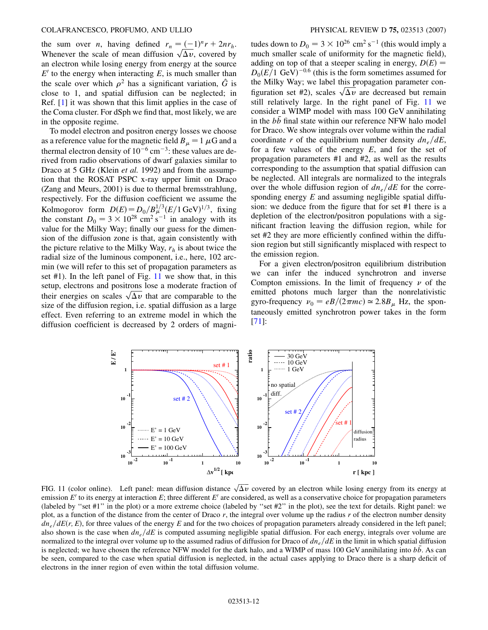the sum over *n*, having defined  $r_n = (-1)^n r + 2nr_h$ . the sum over *n*, having defined  $r_n = (-1)^n r + 2nr_h$ .<br>Whenever the scale of mean diffusion  $\sqrt{\Delta v}$ , covered by an electron while losing energy from energy at the source  $E'$  to the energy when interacting  $E$ , is much smaller than the scale over which  $\rho^2$  has a significant variation,  $\hat{G}$  is close to 1, and spatial diffusion can be neglected; in Ref. [\[1\]](#page-18-0) it was shown that this limit applies in the case of the Coma cluster. For dSph we find that, most likely, we are in the opposite regime.

To model electron and positron energy losses we choose as a reference value for the magnetic field  $B_\mu = 1 \mu G$  and a thermal electron density of  $10^{-6}$  cm<sup>-3</sup>: these values are derived from radio observations of dwarf galaxies similar to Draco at 5 GHz (Klein *et al.* 1992) and from the assumption that the ROSAT PSPC x-ray upper limit on Draco (Zang and Meurs, 2001) is due to thermal bremsstrahlung, respectively. For the diffusion coefficient we assume the Kolmogorov form  $D(E) = D_0/B_{\mu}^{1/3}(E/1 \text{ GeV})^{1/3}$ , fixing the constant  $D_0 = 3 \times 10^{28} \text{ cm}^2 \text{ s}^{-1}$  in analogy with its value for the Milky Way; finally our guess for the dimension of the diffusion zone is that, again consistently with the picture relative to the Milky Way,  $r_h$  is about twice the radial size of the luminous component, i.e., here, 102 arcmin (we will refer to this set of propagation parameters as set #1). In the left panel of Fig. [11](#page-11-0) we show that, in this setup, electrons and positrons lose a moderate fraction of setup, electrons and positrons lose a moderate fraction of<br>their energies on scales  $\sqrt{\Delta v}$  that are comparable to the size of the diffusion region, i.e. spatial diffusion as a large effect. Even referring to an extreme model in which the diffusion coefficient is decreased by 2 orders of magnitudes down to  $D_0 = 3 \times 10^{26}$  cm<sup>2</sup> s<sup>-1</sup> (this would imply a much smaller scale of uniformity for the magnetic field), adding on top of that a steeper scaling in energy,  $D(E)$  =  $D_0(E/1 \text{ GeV})^{-0.6}$  (this is the form sometimes assumed for the Milky Way; we label this propagation parameter conthe Milky Way; we label this propagation parameter configuration set  $\#2$ ), scales  $\sqrt{\Delta v}$  are decreased but remain still relatively large. In the right panel of Fig. [11](#page-11-0) we consider a WIMP model with mass 100 GeV annihilating in the  $b\bar{b}$  final state within our reference NFW halo model for Draco. We show integrals over volume within the radial coordinate *r* of the equilibrium number density  $dn_e/dE$ , for a few values of the energy *E*, and for the set of propagation parameters #1 and #2, as well as the results corresponding to the assumption that spatial diffusion can be neglected. All integrals are normalized to the integrals over the whole diffusion region of  $dn_e/dE$  for the corresponding energy *E* and assuming negligible spatial diffusion: we deduce from the figure that for set #1 there is a depletion of the electron/positron populations with a significant fraction leaving the diffusion region, while for set #2 they are more efficiently confined within the diffusion region but still significantly misplaced with respect to the emission region.

For a given electron/positron equilibrium distribution we can infer the induced synchrotron and inverse Compton emissions. In the limit of frequency  $\nu$  of the emitted photons much larger than the nonrelativistic gyro-frequency  $v_0 = eB/(2\pi mc) \approx 2.8B_\mu$  Hz, the spontaneously emitted synchrotron power takes in the form [\[71\]](#page-20-8):

<span id="page-11-0"></span>

FIG. 11 (color online). Left panel: mean diffusion distance  $\sqrt{\Delta v}$  covered by an electron while losing energy from its energy at emission  $E'$  to its energy at interaction  $E$ ; three different  $E'$  are considered, as well as a conservative choice for propagation parameters (labeled by ''set #1'' in the plot) or a more extreme choice (labeled by ''set #2'' in the plot), see the text for details. Right panel: we plot, as a function of the distance from the center of Draco *r*, the integral over volume up the radius *r* of the electron number density  $dn_e/dE(r, E)$ , for three values of the energy E and for the two choices of propagation parameters already considered in the left panel; also shown is the case when  $dn_e/dE$  is computed assuming negligible spatial diffusion. For each energy, integrals over volume are normalized to the integral over volume up to the assumed radius of diffusion for Draco of  $dn_e/dE$  in the limit in which spatial diffusion is neglected; we have chosen the reference NFW model for the dark halo, and a WIMP of mass 100 GeV annihilating into *bb*. As can be seen, compared to the case when spatial diffusion is neglected, in the actual cases applying to Draco there is a sharp deficit of electrons in the inner region of even within the total diffusion volume.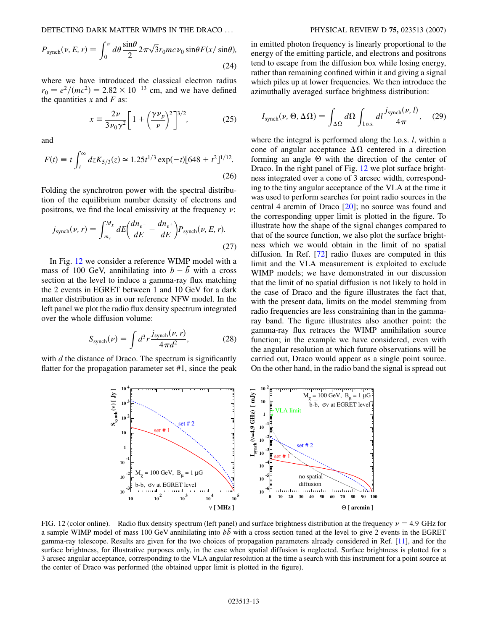DETECTING DARK MATTER WIMPS IN THE DRACO ... PHYSICAL REVIEW D **75,** 023513 (2007)

$$
P_{\text{synch}}(\nu, E, r) = \int_0^{\pi} d\theta \frac{\sin \theta}{2} 2\pi \sqrt{3} r_0 m c \nu_0 \sin \theta F(x/\sin \theta),
$$
\n(24)

where we have introduced the classical electron radius  $r_0 = e^2/(mc^2) = 2.82 \times 10^{-13}$  cm, and we have defined the quantities  $x$  and  $F$  as:

$$
x \equiv \frac{2\nu}{3\nu_0\gamma^2} \bigg[ 1 + \bigg(\frac{\gamma \nu_p}{\nu}\bigg)^2 \bigg]^{3/2},\tag{25}
$$

and

$$
F(t) \equiv t \int_{t}^{\infty} dz K_{5/3}(z) \simeq 1.25 t^{1/3} \exp(-t) [648 + t^2]^{1/12}.
$$
\n(26)

Folding the synchrotron power with the spectral distribution of the equilibrium number density of electrons and positrons, we find the local emissivity at the frequency  $\nu$ :

$$
j_{\text{synch}}(\nu, r) = \int_{m_e}^{M_\chi} dE \left( \frac{dn_{e^-}}{dE} + \frac{dn_{e^+}}{dE} \right) P_{\text{synch}}(\nu, E, r). \tag{27}
$$

In Fig. [12](#page-12-0) we consider a reference WIMP model with a mass of 100 GeV, annihilating into  $b - \bar{b}$  with a cross section at the level to induce a gamma-ray flux matching the 2 events in EGRET between 1 and 10 GeV for a dark matter distribution as in our reference NFW model. In the left panel we plot the radio flux density spectrum integrated over the whole diffusion volume:

$$
S_{\text{synch}}(\nu) = \int d^3r \frac{j_{\text{synch}}(\nu, r)}{4\pi d^2},\tag{28}
$$

<span id="page-12-0"></span>with *d* the distance of Draco. The spectrum is significantly flatter for the propagation parameter set #1, since the peak in emitted photon frequency is linearly proportional to the energy of the emitting particle, and electrons and positrons tend to escape from the diffusion box while losing energy, rather than remaining confined within it and giving a signal which piles up at lower frequencies. We then introduce the azimuthally averaged surface brightness distribution:

$$
I_{\text{synch}}(\nu, \Theta, \Delta \Omega) = \int_{\Delta \Omega} d\Omega \int_{\text{l.o.s.}} dl \frac{j_{\text{synch}}(\nu, l)}{4\pi}, \quad (29)
$$

where the integral is performed along the l.o.s. *l*, within a cone of angular acceptance  $\Delta\Omega$  centered in a direction forming an angle  $\Theta$  with the direction of the center of Draco. In the right panel of Fig. [12](#page-12-0) we plot surface brightness integrated over a cone of 3 arcsec width, corresponding to the tiny angular acceptance of the VLA at the time it was used to perform searches for point radio sources in the central 4 arcmin of Draco [[20](#page-19-12)]; no source was found and the corresponding upper limit is plotted in the figure. To illustrate how the shape of the signal changes compared to that of the source function, we also plot the surface brightness which we would obtain in the limit of no spatial diffusion. In Ref. [\[72\]](#page-20-9) radio fluxes are computed in this limit and the VLA measurement is exploited to exclude WIMP models; we have demonstrated in our discussion that the limit of no spatial diffusion is not likely to hold in the case of Draco and the figure illustrates the fact that, with the present data, limits on the model stemming from radio frequencies are less constraining than in the gammaray band. The figure illustrates also another point: the gamma-ray flux retraces the WIMP annihilation source function; in the example we have considered, even with the angular resolution at which future observations will be carried out, Draco would appear as a single point source. On the other hand, in the radio band the signal is spread out



FIG. 12 (color online). Radio flux density spectrum (left panel) and surface brightness distribution at the frequency  $\nu = 4.9$  GHz for a sample WIMP model of mass 100 GeV annihilating into *bb* with a cross section tuned at the level to give 2 events in the EGRET gamma-ray telescope. Results are given for the two choices of propagation parameters already considered in Ref. [\[11\]](#page-19-4), and for the surface brightness, for illustrative purposes only, in the case when spatial diffusion is neglected. Surface brightness is plotted for a 3 arcsec angular acceptance, corresponding to the VLA angular resolution at the time a search with this instrument for a point source at the center of Draco was performed (the obtained upper limit is plotted in the figure).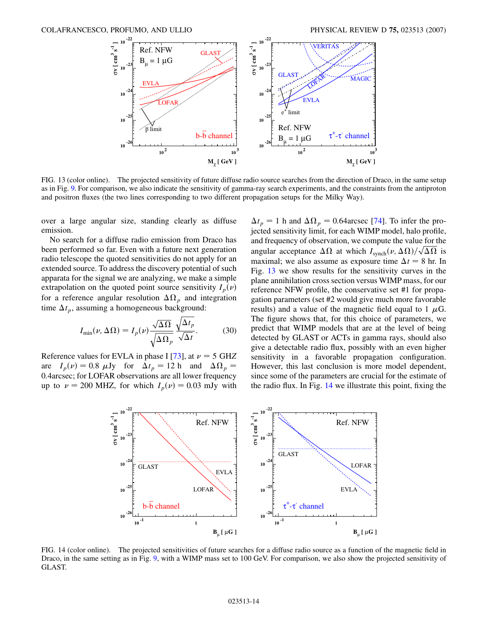<span id="page-13-0"></span>

FIG. 13 (color online). The projected sensitivity of future diffuse radio source searches from the direction of Draco, in the same setup as in Fig. [9.](#page-9-0) For comparison, we also indicate the sensitivity of gamma-ray search experiments, and the constraints from the antiproton and positron fluxes (the two lines corresponding to two different propagation setups for the Milky Way).

over a large angular size, standing clearly as diffuse emission.

No search for a diffuse radio emission from Draco has been performed so far. Even with a future next generation radio telescope the quoted sensitivities do not apply for an extended source. To address the discovery potential of such apparata for the signal we are analyzing, we make a simple extrapolation on the quoted point source sensitivity  $I_p(\nu)$ for a reference angular resolution  $\Delta\Omega_p$  and integration time  $\Delta t_p$ , assuming a homogeneous background:

$$
I_{\min}(\nu, \Delta\Omega) = I_p(\nu) \frac{\sqrt{\Delta\Omega}}{\sqrt{\Delta\Omega_p}} \frac{\sqrt{\Delta t_p}}{\sqrt{\Delta t}}.
$$
 (30)

<span id="page-13-1"></span>Reference values for EVLA in phase I [\[73\]](#page-20-10), at  $\nu = 5$  GHZ are  $I_p(\nu) = 0.8 \mu Jy$  for  $\Delta t_p = 12 \text{ h}$  and  $\Delta \Omega_p =$ 0*:*4arcsec; for LOFAR observations are all lower frequency up to  $\nu = 200$  MHZ, for which  $I_p(\nu) = 0.03$  mJy with

 $\Delta t_p = 1$  h and  $\Delta \Omega_p = 0.64$ arcsec [\[74\]](#page-20-11). To infer the projected sensitivity limit, for each WIMP model, halo profile, and frequency of observation, we compute the value for the and requency or observation, we compute the value for the<br>angular acceptance  $\Delta\Omega$  at which  $I_{\text{synch}}(\nu, \Delta\Omega)/\sqrt{\Delta\Omega}$  is maximal; we also assume as exposure time  $\Delta t = 8$  hr. In Fig. [13](#page-13-0) we show results for the sensitivity curves in the plane annihilation cross section versus WIMP mass, for our reference NFW profile, the conservative set #1 for propagation parameters (set #2 would give much more favorable results) and a value of the magnetic field equal to 1  $\mu$ G. The figure shows that, for this choice of parameters, we predict that WIMP models that are at the level of being detected by GLAST or ACTs in gamma rays, should also give a detectable radio flux, possibly with an even higher sensitivity in a favorable propagation configuration. However, this last conclusion is more model dependent, since some of the parameters are crucial for the estimate of the radio flux. In Fig. [14](#page-13-1) we illustrate this point, fixing the



FIG. 14 (color online). The projected sensitivities of future searches for a diffuse radio source as a function of the magnetic field in Draco, in the same setting as in Fig. [9](#page-9-0), with a WIMP mass set to 100 GeV. For comparison, we also show the projected sensitivity of GLAST.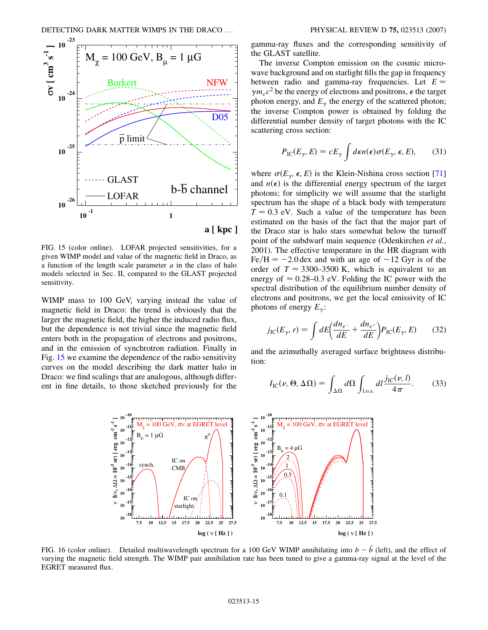<span id="page-14-0"></span>

FIG. 15 (color online). LOFAR projected sensitivities, for a given WIMP model and value of the magnetic field in Draco, as a function of the length scale parameter *a* in the class of halo models selected in Sec. II, compared to the GLAST projected sensitivity.

WIMP mass to 100 GeV, varying instead the value of magnetic field in Draco: the trend is obviously that the larger the magnetic field, the higher the induced radio flux, but the dependence is not trivial since the magnetic field enters both in the propagation of electrons and positrons, and in the emission of synchrotron radiation. Finally in Fig. [15](#page-14-0) we examine the dependence of the radio sensitivity curves on the model describing the dark matter halo in Draco: we find scalings that are analogous, although different in fine details, to those sketched previously for the gamma-ray fluxes and the corresponding sensitivity of the GLAST satellite.

The inverse Compton emission on the cosmic microwave background and on starlight fills the gap in frequency between radio and gamma-ray frequencies. Let *E*  $\gamma m_e c^2$  be the energy of electrons and positrons,  $\epsilon$  the target photon energy, and  $E<sub>\gamma</sub>$  the energy of the scattered photon; the inverse Compton power is obtained by folding the differential number density of target photons with the IC scattering cross section:

$$
P_{\rm IC}(E_{\gamma}, E) = cE_{\gamma} \int d\epsilon n(\epsilon) \sigma(E_{\gamma}, \epsilon, E), \qquad (31)
$$

where  $\sigma(E_{\gamma}, \epsilon, E)$  is the Klein-Nishina cross section [\[71\]](#page-20-8) and  $n(\epsilon)$  is the differential energy spectrum of the target photons; for simplicity we will assume that the starlight spectrum has the shape of a black body with temperature  $T = 0.3$  eV. Such a value of the temperature has been estimated on the basis of the fact that the major part of the Draco star is halo stars somewhat below the turnoff point of the subdwarf main sequence (Odenkirchen *et al.*, 2001). The effective temperature in the HR diagram with  $Fe/H = -2.0$  dex and with an age of  $\sim$ 12 Gyr is of the order of  $T \approx 3300-3500$  K, which is equivalent to an energy of  $\approx 0.28{\text -}0.3$  eV. Folding the IC power with the spectral distribution of the equilibrium number density of electrons and positrons, we get the local emissivity of IC photons of energy  $E_{\nu}$ :

$$
j_{\rm IC}(E_{\gamma}, r) = \int dE \left(\frac{dn_{e^-}}{dE} + \frac{dn_{e^+}}{dE}\right) P_{\rm IC}(E_{\gamma}, E) \tag{32}
$$

and the azimuthally averaged surface brightness distribution:

$$
I_{\rm IC}(\nu,\Theta,\Delta\Omega) = \int_{\Delta\Omega} d\Omega \int_{\rm l.o.s.} dl \frac{j_{\rm IC}(\nu,l)}{4\pi}.
$$
 (33)

<span id="page-14-1"></span>

FIG. 16 (color online). Detailed multiwavelength spectrum for a 100 GeV WIMP annihilating into  $b - \bar{b}$  (left), and the effect of varying the magnetic field strength. The WIMP pair annihilation rate has been tuned to give a gamma-ray signal at the level of the EGRET measured flux.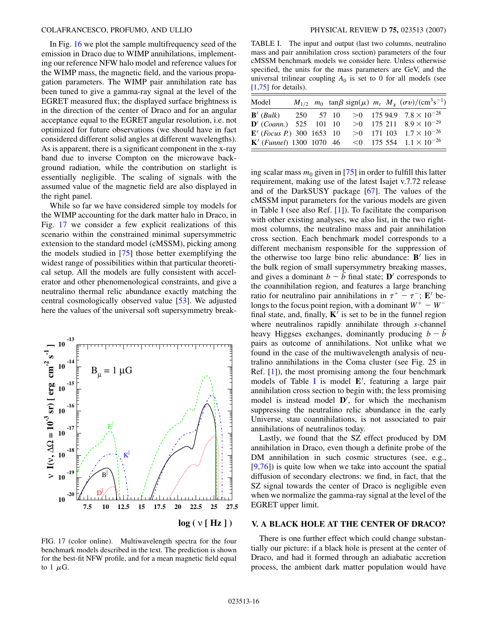In Fig. [16](#page-14-1) we plot the sample multifrequency seed of the emission in Draco due to WIMP annihilations, implementing our reference NFW halo model and reference values for the WIMP mass, the magnetic field, and the various propagation parameters. The WIMP pair annihilation rate has been tuned to give a gamma-ray signal at the level of the EGRET measured flux; the displayed surface brightness is in the direction of the center of Draco and for an angular acceptance equal to the EGRET angular resolution, i.e. not optimized for future observations (we should have in fact considered different solid angles at different wavelengths). As is apparent, there is a significant component in the x-ray band due to inverse Compton on the microwave background radiation, while the contribution on starlight is essentially negligible. The scaling of signals with the assumed value of the magnetic field are also displayed in the right panel.

While so far we have considered simple toy models for the WIMP accounting for the dark matter halo in Draco, in Fig. [17](#page-15-0) we consider a few explicit realizations of this scenario within the constrained minimal supersymmetric extension to the standard model (cMSSM), picking among the models studied in [[75](#page-20-12)] those better exemplifying the widest range of possibilities within that particular theoretical setup. All the models are fully consistent with accelerator and other phenomenological constraints, and give a neutralino thermal relic abundance exactly matching the central cosmologically observed value [[53](#page-19-44)]. We adjusted here the values of the universal soft supersymmetry break-

<span id="page-15-0"></span>

FIG. 17 (color online). Multiwavelength spectra for the four benchmark models described in the text. The prediction is shown for the best-fit NFW profile, and for a mean magnetic field equal to 1  $\mu$ G.

TABLE I. The input and output (last two columns, neutralino mass and pair annihilation cross section) parameters of the four cMSSM benchmark models we consider here. Unless otherwise specified, the units for the mass parameters are GeV, and the universal trilinear coupling  $A_0$  is set to 0 for all models (see  $[1,75]$  $[1,75]$  for details).

| Model                       |  |  |  | $M_{1/2}$ $m_0$ tan $\beta$ sign( $\mu$ ) $m_t$ $M_x$ ( $\sigma v$ )/(cm <sup>3</sup> s <sup>-1</sup> )       |
|-----------------------------|--|--|--|---------------------------------------------------------------------------------------------------------------|
|                             |  |  |  | <b>B</b> <sup><math>\prime</math></sup> ( <i>Bulk</i> ) 250 57 10 > 0 175 94.9 7.8 $\times$ 10 <sup>-28</sup> |
| D' (Coann.) 525 101 10      |  |  |  | $>0$ 175 211 $8.9 \times 10^{-29}$                                                                            |
| $E'$ (Focus P.) 300 1653 10 |  |  |  | $>0$ 171 103 1.7 $\times$ 10 <sup>-26</sup>                                                                   |
| $K'$ (Funnel) 1300 1070 46  |  |  |  | $\leq$ 0 175 554 1.1 $\times$ 10 <sup>-26</sup>                                                               |

ing scalar mass  $m_0$  given in [\[75\]](#page-20-12) in order to fulfill this latter requirement, making use of the latest Isajet v.7.72 release and of the DarkSUSY package [\[67\]](#page-20-4). The values of the cMSSM input parameters for the various models are given in Table I (see also Ref.  $[1]$ ). To facilitate the comparison with other existing analyses, we also list, in the two rightmost columns, the neutralino mass and pair annihilation cross section. Each benchmark model corresponds to a different mechanism responsible for the suppression of the otherwise too large bino relic abundance:  $\mathbf{B}'$  lies in the bulk region of small supersymmetry breaking masses, and gives a dominant  $b - \overline{b}$  final state; **D**<sup> $\prime$ </sup> corresponds to the coannihilation region, and features a large branching ratio for neutralino pair annihilations in  $\tau^+ - \tau^-$ ; E<sup>t</sup> belongs to the focus point region, with a dominant  $W^+ - W^$ final state, and, finally,  $K'$  is set to be in the funnel region where neutralinos rapidly annihilate through *s*-channel heavy Higgses exchanges, dominantly producing  $b - b$ pairs as outcome of annihilations. Not unlike what we found in the case of the multiwavelength analysis of neutralino annihilations in the Coma cluster (see Fig. 25 in Ref. [[1\]](#page-18-0)), the most promising among the four benchmark models of Table I is model E', featuring a large pair annihilation cross section to begin with; the less promising model is instead model **D**<sup>'</sup>, for which the mechanism suppressing the neutralino relic abundance in the early Universe, stau coannihilations, is not associated to pair annihilations of neutralinos today.

Lastly, we found that the SZ effect produced by DM annihilation in Draco, even though a definite probe of the DM annihilation in such cosmic structures (see, e.g., [\[9,](#page-19-2)[76\]](#page-20-13)) is quite low when we take into account the spatial diffusion of secondary electrons: we find, in fact, that the SZ signal towards the center of Draco is negligible even when we normalize the gamma-ray signal at the level of the EGRET upper limit.

## **V. A BLACK HOLE AT THE CENTER OF DRACO?**

There is one further effect which could change substantially our picture: if a black hole is present at the center of Draco, and had it formed through an adiabatic accretion process, the ambient dark matter population would have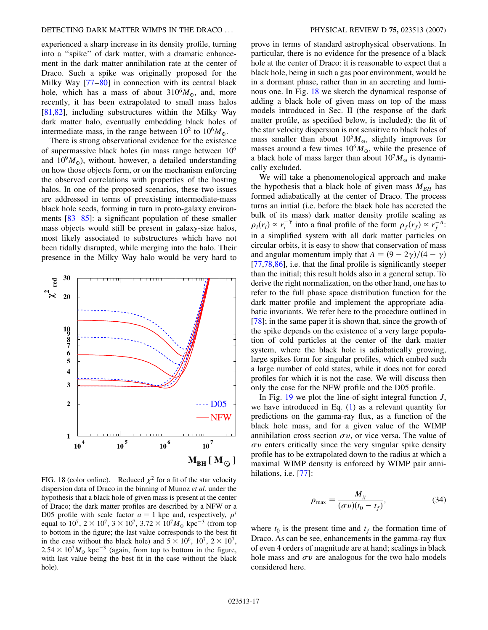experienced a sharp increase in its density profile, turning into a ''spike'' of dark matter, with a dramatic enhancement in the dark matter annihilation rate at the center of Draco. Such a spike was originally proposed for the Milky Way [\[77](#page-20-14)[–80](#page-20-15)] in connection with its central black hole, which has a mass of about  $310^{6}M_{\odot}$ , and, more recently, it has been extrapolated to small mass halos [\[81](#page-20-16)[,82\]](#page-20-17), including substructures within the Milky Way dark matter halo, eventually embedding black holes of intermediate mass, in the range between  $10^2$  to  $10^6 M_{\odot}$ .

There is strong observational evidence for the existence of supermassive black holes (in mass range between  $10<sup>6</sup>$ and  $10^{9}M_{\odot}$ ), without, however, a detailed understanding on how those objects form, or on the mechanism enforcing the observed correlations with properties of the hosting halos. In one of the proposed scenarios, these two issues are addressed in terms of preexisting intermediate-mass black hole seeds, forming in turn in proto-galaxy environments [\[83](#page-20-18)–[85](#page-20-19)]: a significant population of these smaller mass objects would still be present in galaxy-size halos, most likely associated to substructures which have not been tidally disrupted, while merging into the halo. Their presence in the Milky Way halo would be very hard to

<span id="page-16-0"></span>

FIG. 18 (color online). Reduced  $\chi^2$  for a fit of the star velocity dispersion data of Draco in the binning of Munoz *et al.* under the hypothesis that a black hole of given mass is present at the center of Draco; the dark matter profiles are described by a NFW or a D05 profile with scale factor  $a = 1$  kpc and, respectively,  $\rho'$ equal to  $10^7$ ,  $2 \times 10^7$ ,  $3 \times 10^7$ ,  $3.72 \times 10^7 M_{\odot}$  kpc<sup>-3</sup> (from top to bottom in the figure; the last value corresponds to the best fit in the case without the black hole) and  $5 \times 10^6$ ,  $10^7$ ,  $2 \times 10^7$ ,  $2.54 \times 10^7 M_{\odot}$  kpc<sup>-3</sup> (again, from top to bottom in the figure, with last value being the best fit in the case without the black hole).

prove in terms of standard astrophysical observations. In particular, there is no evidence for the presence of a black hole at the center of Draco: it is reasonable to expect that a black hole, being in such a gas poor environment, would be in a dormant phase, rather than in an accreting and luminous one. In Fig. [18](#page-16-0) we sketch the dynamical response of adding a black hole of given mass on top of the mass models introduced in Sec. II (the response of the dark matter profile, as specified below, is included): the fit of the star velocity dispersion is not sensitive to black holes of mass smaller than about  $10<sup>5</sup>M<sub>o</sub>$ , slightly improves for masses around a few times  $10<sup>6</sup>M_{\odot}$ , while the presence of a black hole of mass larger than about  $10<sup>7</sup>M<sub>o</sub>$  is dynamically excluded.

We will take a phenomenological approach and make the hypothesis that a black hole of given mass  $M_{BH}$  has formed adiabatically at the center of Draco. The process turns an initial (i.e. before the black hole has accreted the bulk of its mass) dark matter density profile scaling as  $\rho_i(r_i) \propto r_i^{-\gamma}$  into a final profile of the form  $\rho_f(r_f) \propto r_f^{-A}$ . in a simplified system with all dark matter particles on circular orbits, it is easy to show that conservation of mass and angular momentum imply that  $A = (9 - 2\gamma)/(4 - \gamma)$ [\[77](#page-20-14)[,78,](#page-20-20)[86](#page-20-21)], i.e. that the final profile is significantly steeper than the initial; this result holds also in a general setup. To derive the right normalization, on the other hand, one has to refer to the full phase space distribution function for the dark matter profile and implement the appropriate adiabatic invariants. We refer here to the procedure outlined in [\[78\]](#page-20-20); in the same paper it is shown that, since the growth of the spike depends on the existence of a very large population of cold particles at the center of the dark matter system, where the black hole is adiabatically growing, large spikes form for singular profiles, which embed such a large number of cold states, while it does not for cored profiles for which it is not the case. We will discuss then only the case for the NFW profile and the D05 profile.

In Fig. [19](#page-17-0) we plot the line-of-sight integral function *J*, we have introduced in Eq. ([1\)](#page-2-0) as a relevant quantity for predictions on the gamma-ray flux, as a function of the black hole mass, and for a given value of the WIMP annihilation cross section  $\sigma v$ , or vice versa. The value of  $\sigma v$  enters critically since the very singular spike density profile has to be extrapolated down to the radius at which a maximal WIMP density is enforced by WIMP pair annihilations, i.e. [\[77\]](#page-20-14):

$$
\rho_{\text{max}} = \frac{M_{\chi}}{(\sigma v)(t_0 - t_f)},\tag{34}
$$

where  $t_0$  is the present time and  $t_f$  the formation time of Draco. As can be see, enhancements in the gamma-ray flux of even 4 orders of magnitude are at hand; scalings in black hole mass and  $\sigma v$  are analogous for the two halo models considered here.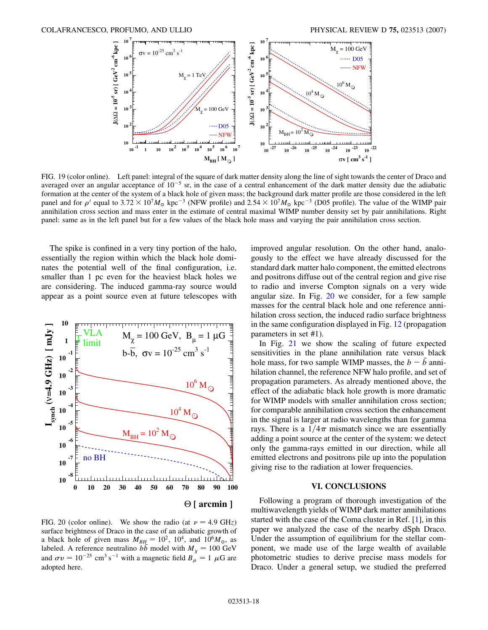<span id="page-17-0"></span>

FIG. 19 (color online). Left panel: integral of the square of dark matter density along the line of sight towards the center of Draco and averaged over an angular acceptance of  $10^{-5}$  sr, in the case of a central enhancement of the dark matter density due the adiabatic formation at the center of the system of a black hole of given mass; the background dark matter profile are those considered in the left panel and for  $\rho'$  equal to 3.72  $\times$  10<sup>7</sup> $M_{\odot}$  kpc<sup>-3</sup> (NFW profile) and 2.54  $\times$  10<sup>7</sup> $M_{\odot}$  kpc<sup>-3</sup> (D05 profile). The value of the WIMP pair annihilation cross section and mass enter in the estimate of central maximal WIMP number density set by pair annihilations. Right panel: same as in the left panel but for a few values of the black hole mass and varying the pair annihilation cross section.

The spike is confined in a very tiny portion of the halo, essentially the region within which the black hole dominates the potential well of the final configuration, i.e. smaller than 1 pc even for the heaviest black holes we are considering. The induced gamma-ray source would appear as a point source even at future telescopes with

<span id="page-17-1"></span>

FIG. 20 (color online). We show the radio (at  $\nu = 4.9 \text{ GHz}$ ) surface brightness of Draco in the case of an adiabatic growth of a black hole of given mass  $M_{BH} = 10^2$ ,  $10^4$ , and  $10^6 M_{\odot}$ , as labeled. A reference neutralino  $b\overline{b}$  model with  $M_{\chi} = 100 \text{ GeV}$ and  $\sigma v = 10^{-25}$  cm<sup>3</sup> s<sup>-1</sup> with a magnetic field  $B_{\mu} = 1$   $\mu$ G are adopted here.

improved angular resolution. On the other hand, analogously to the effect we have already discussed for the standard dark matter halo component, the emitted electrons and positrons diffuse out of the central region and give rise to radio and inverse Compton signals on a very wide angular size. In Fig. [20](#page-17-1) we consider, for a few sample masses for the central black hole and one reference annihilation cross section, the induced radio surface brightness in the same configuration displayed in Fig. [12](#page-12-0) (propagation parameters in set #1).

In Fig. [21](#page-18-5) we show the scaling of future expected sensitivities in the plane annihilation rate versus black hole mass, for two sample WIMP masses, the  $b - \bar{b}$  annihilation channel, the reference NFW halo profile, and set of propagation parameters. As already mentioned above, the effect of the adiabatic black hole growth is more dramatic for WIMP models with smaller annihilation cross section; for comparable annihilation cross section the enhancement in the signal is larger at radio wavelengths than for gamma rays. There is a  $1/4\pi$  mismatch since we are essentially adding a point source at the center of the system: we detect only the gamma-rays emitted in our direction, while all emitted electrons and positrons pile up into the population giving rise to the radiation at lower frequencies.

### **VI. CONCLUSIONS**

Following a program of thorough investigation of the multiwavelength yields of WIMP dark matter annihilations started with the case of the Coma cluster in Ref. [[1\]](#page-18-0), in this paper we analyzed the case of the nearby dSph Draco. Under the assumption of equilibrium for the stellar component, we made use of the large wealth of available photometric studies to derive precise mass models for Draco. Under a general setup, we studied the preferred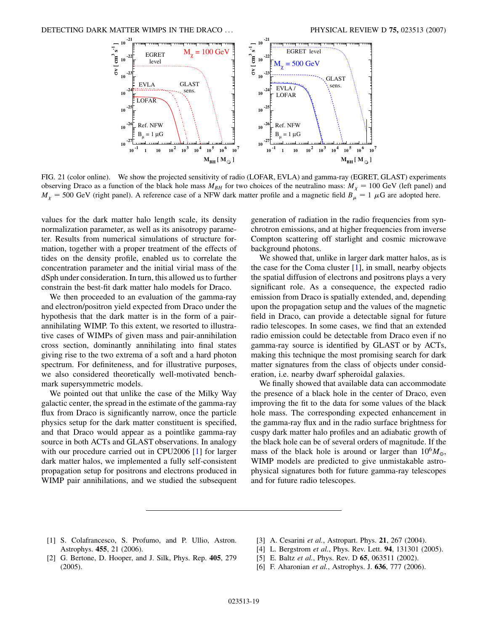<span id="page-18-5"></span>

FIG. 21 (color online). We show the projected sensitivity of radio (LOFAR, EVLA) and gamma-ray (EGRET, GLAST) experiments observing Draco as a function of the black hole mass  $M_{BH}$  for two choices of the neutralino mass:  $M_{\chi} = 100$  GeV (left panel) and  $M_{\chi}$  = 500 GeV (right panel). A reference case of a NFW dark matter profile and a magnetic field  $B_{\mu}$  = 1  $\mu$ G are adopted here.

values for the dark matter halo length scale, its density normalization parameter, as well as its anisotropy parameter. Results from numerical simulations of structure formation, together with a proper treatment of the effects of tides on the density profile, enabled us to correlate the concentration parameter and the initial virial mass of the dSph under consideration. In turn, this allowed us to further constrain the best-fit dark matter halo models for Draco.

We then proceeded to an evaluation of the gamma-ray and electron/positron yield expected from Draco under the hypothesis that the dark matter is in the form of a pairannihilating WIMP. To this extent, we resorted to illustrative cases of WIMPs of given mass and pair-annihilation cross section, dominantly annihilating into final states giving rise to the two extrema of a soft and a hard photon spectrum. For definiteness, and for illustrative purposes, we also considered theoretically well-motivated benchmark supersymmetric models.

We pointed out that unlike the case of the Milky Way galactic center, the spread in the estimate of the gamma-ray flux from Draco is significantly narrow, once the particle physics setup for the dark matter constituent is specified, and that Draco would appear as a pointlike gamma-ray source in both ACTs and GLAST observations. In analogy with our procedure carried out in CPU2006 [\[1](#page-18-0)] for larger dark matter halos, we implemented a fully self-consistent propagation setup for positrons and electrons produced in WIMP pair annihilations, and we studied the subsequent generation of radiation in the radio frequencies from synchrotron emissions, and at higher frequencies from inverse Compton scattering off starlight and cosmic microwave background photons.

We showed that, unlike in larger dark matter halos, as is the case for the Coma cluster  $[1]$  $[1]$ , in small, nearby objects the spatial diffusion of electrons and positrons plays a very significant role. As a consequence, the expected radio emission from Draco is spatially extended, and, depending upon the propagation setup and the values of the magnetic field in Draco, can provide a detectable signal for future radio telescopes. In some cases, we find that an extended radio emission could be detectable from Draco even if no gamma-ray source is identified by GLAST or by ACTs, making this technique the most promising search for dark matter signatures from the class of objects under consideration, i.e. nearby dwarf spheroidal galaxies.

We finally showed that available data can accommodate the presence of a black hole in the center of Draco, even improving the fit to the data for some values of the black hole mass. The corresponding expected enhancement in the gamma-ray flux and in the radio surface brightness for cuspy dark matter halo profiles and an adiabatic growth of the black hole can be of several orders of magnitude. If the mass of the black hole is around or larger than  $10^{6}M_{\odot}$ , WIMP models are predicted to give unmistakable astrophysical signatures both for future gamma-ray telescopes and for future radio telescopes.

- <span id="page-18-0"></span>[1] S. Colafrancesco, S. Profumo, and P. Ullio, Astron. Astrophys. **455**, 21 (2006).
- <span id="page-18-1"></span>[2] G. Bertone, D. Hooper, and J. Silk, Phys. Rep. **405**, 279 (2005).
- <span id="page-18-2"></span>[3] A. Cesarini *et al.*, Astropart. Phys. **21**, 267 (2004).
- <span id="page-18-3"></span>[4] L. Bergstrom *et al.*, Phys. Rev. Lett. **94**, 131301 (2005).
- <span id="page-18-4"></span>[5] E. Baltz *et al.*, Phys. Rev. D **65**, 063511 (2002).
- [6] F. Aharonian *et al.*, Astrophys. J. **636**, 777 (2006).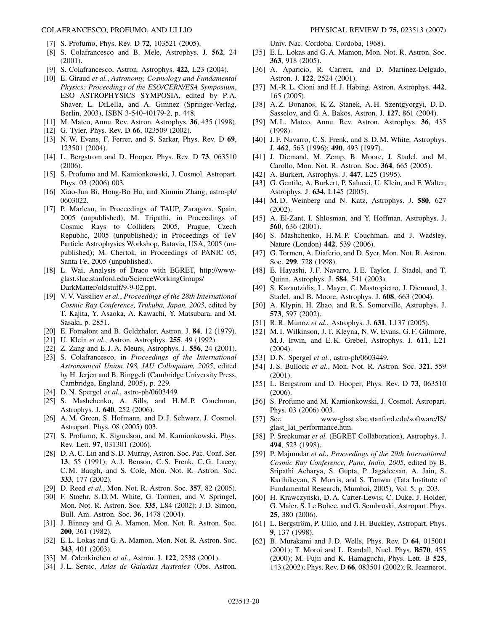- <span id="page-19-0"></span>[7] S. Profumo, Phys. Rev. D **72**, 103521 (2005).
- <span id="page-19-1"></span>[8] S. Colafrancesco and B. Mele, Astrophys. J. **562**, 24 (2001).
- <span id="page-19-2"></span>[9] S. Colafrancesco, Astron. Astrophys. **422**, L23 (2004).
- <span id="page-19-3"></span>[10] E. Giraud *et al.*, *Astronomy, Cosmology and Fundamental Physics: Proceedings of the ESO/CERN/ESA Symposium*, ESO ASTROPHYSICS SYMPOSIA, edited by P. A. Shaver, L. DiLella, and A. Gimnez (Springer-Verlag, Berlin, 2003), ISBN 3-540-40179-2, p. 448.
- <span id="page-19-4"></span>[11] M. Mateo, Annu. Rev. Astron. Astrophys. **36**, 435 (1998).
- <span id="page-19-5"></span>[12] G. Tyler, Phys. Rev. D **66**, 023509 (2002).
- <span id="page-19-46"></span>[13] N. W. Evans, F. Ferrer, and S. Sarkar, Phys. Rev. D **69**, 123501 (2004).
- <span id="page-19-8"></span>[14] L. Bergstrom and D. Hooper, Phys. Rev. D **73**, 063510 (2006).
- <span id="page-19-9"></span>[15] S. Profumo and M. Kamionkowski, J. Cosmol. Astropart. Phys. 03 (2006) 003.
- <span id="page-19-6"></span>[16] Xiao-Jun Bi, Hong-Bo Hu, and Xinmin Zhang, astro-ph/ 0603022.
- <span id="page-19-7"></span>[17] P. Marleau, in Proceedings of TAUP, Zaragoza, Spain, 2005 (unpublished); M. Tripathi, in Proceedings of Cosmic Rays to Colliders 2005, Prague, Czech Republic, 2005 (unpublished); in Proceedings of TeV Particle Astrophysics Workshop, Batavia, USA, 2005 (unpublished); M. Chertok, in Proceedings of PANIC 05, Santa Fe, 2005 (unpublished).
- <span id="page-19-10"></span>[18] L. Wai, Analysis of Draco with EGRET, http://wwwglast.slac.stanford.edu/ScienceWorkingGroups/ DarkMatter/oldstuff/9-9-02.ppt.
- <span id="page-19-11"></span>[19] V. V. Vassiliev *et al.*, *Proceedings of the 28th International Cosmic Ray Conference, Trukuba, Japan, 2003*, edited by T. Kajita, Y. Asaoka, A. Kawachi, Y. Matsubara, and M. Sasaki, p. 2851.
- <span id="page-19-12"></span>[20] E. Fomalont and B. Geldzhaler, Astron. J. **84**, 12 (1979).
- <span id="page-19-13"></span>[21] U. Klein *et al.*, Astron. Astrophys. **255**, 49 (1992).
- <span id="page-19-14"></span>[22] Z. Zang and E. J. A. Meurs, Astrophys. J. **556**, 24 (2001).
- <span id="page-19-15"></span>[23] S. Colafrancesco, in *Proceedings of the International Astronomical Union 198, IAU Colloquium, 2005*, edited by H. Jerjen and B. Binggeli (Cambridge University Press, Cambridge, England, 2005), p. 229.
- <span id="page-19-16"></span>[24] D. N. Spergel *et al.*, astro-ph/0603449.
- <span id="page-19-17"></span>[25] S. Mashchenko, A. Sills, and H.M.P. Couchman, Astrophys. J. **640**, 252 (2006).
- <span id="page-19-18"></span>[26] A. M. Green, S. Hofmann, and D. J. Schwarz, J. Cosmol. Astropart. Phys. 08 (2005) 003.
- <span id="page-19-19"></span>[27] S. Profumo, K. Sigurdson, and M. Kamionkowski, Phys. Rev. Lett. **97**, 031301 (2006).
- <span id="page-19-20"></span>[28] D. A. C. Lin and S. D. Murray, Astron. Soc. Pac. Conf. Ser. **13**, 55 (1991); A. J. Benson, C. S. Frenk, C. G. Lacey, C. M. Baugh, and S. Cole, Mon. Not. R. Astron. Soc. **333**, 177 (2002).
- <span id="page-19-21"></span>[29] D. Reed *et al.*, Mon. Not. R. Astron. Soc. **357**, 82 (2005).
- <span id="page-19-22"></span>[30] F. Stoehr, S.D.M. White, G. Tormen, and V. Springel, Mon. Not. R. Astron. Soc. **335**, L84 (2002); J. D. Simon, Bull. Am. Astron. Soc. **36**, 1478 (2004).
- <span id="page-19-23"></span>[31] J. Binney and G.A. Mamon, Mon. Not. R. Astron. Soc. **200**, 361 (1982).
- <span id="page-19-24"></span>[32] E.L. Lokas and G.A. Mamon, Mon. Not. R. Astron. Soc. **343**, 401 (2003).
- <span id="page-19-25"></span>[33] M. Odenkirchen *et al.*, Astron. J. **122**, 2538 (2001).
- <span id="page-19-26"></span>[34] J. L. Sersic, *Atlas de Galaxias Australes* (Obs. Astron.

Univ. Nac. Cordoba, Cordoba, 1968).

- <span id="page-19-27"></span>[35] E.L. Lokas and G.A. Mamon, Mon. Not. R. Astron. Soc. **363**, 918 (2005).
- <span id="page-19-28"></span>[36] A. Aparicio, R. Carrera, and D. Martinez-Delgado, Astron. J. **122**, 2524 (2001).
- <span id="page-19-29"></span>[37] M.-R. L. Cioni and H. J. Habing, Astron. Astrophys. **442**, 165 (2005).
- <span id="page-19-30"></span>[38] A. Z. Bonanos, K. Z. Stanek, A. H. Szentgyorgyi, D. D. Sasselov, and G. A. Bakos, Astron. J. **127**, 861 (2004).
- <span id="page-19-31"></span>[39] M. L. Mateo, Annu. Rev. Astron. Astrophys. **36**, 435 (1998).
- <span id="page-19-32"></span>[40] J. F. Navarro, C. S. Frenk, and S. D. M. White, Astrophys. J. **462**, 563 (1996); **490**, 493 (1997).
- <span id="page-19-33"></span>[41] J. Diemand, M. Zemp, B. Moore, J. Stadel, and M. Carollo, Mon. Not. R. Astron. Soc. **364**, 665 (2005).
- <span id="page-19-34"></span>[42] A. Burkert, Astrophys. J. **447**, L25 (1995).
- <span id="page-19-35"></span>[43] G. Gentile, A. Burkert, P. Salucci, U. Klein, and F. Walter, Astrophys. J. **634**, L145 (2005).
- <span id="page-19-36"></span>[44] M. D. Weinberg and N. Katz, Astrophys. J. **580**, 627 (2002).
- [45] A. El-Zant, I. Shlosman, and Y. Hoffman, Astrophys. J. **560**, 636 (2001).
- <span id="page-19-37"></span>[46] S. Mashchenko, H.M.P. Couchman, and J. Wadsley, Nature (London) **442**, 539 (2006).
- <span id="page-19-38"></span>[47] G. Tormen, A. Diaferio, and D. Syer, Mon. Not. R. Astron. Soc. **299**, 728 (1998).
- <span id="page-19-39"></span>[48] E. Hayashi, J.F. Navarro, J.E. Taylor, J. Stadel, and T. Quinn, Astrophys. J. **584**, 541 (2003).
- <span id="page-19-40"></span>[49] S. Kazantzidis, L. Mayer, C. Mastropietro, J. Diemand, J. Stadel, and B. Moore, Astrophys. J. **608**, 663 (2004).
- <span id="page-19-41"></span>[50] A. Klypin, H. Zhao, and R. S. Somerville, Astrophys. J. **573**, 597 (2002).
- <span id="page-19-42"></span>[51] R. R. Munoz *et al.*, Astrophys. J. **631**, L137 (2005).
- <span id="page-19-43"></span>[52] M. I. Wilkinson, J. T. Kleyna, N. W. Evans, G. F. Gilmore, M. J. Irwin, and E. K. Grebel, Astrophys. J. **611**, L21 (2004).
- <span id="page-19-44"></span>[53] D. N. Spergel *et al.*, astro-ph/0603449.
- <span id="page-19-45"></span>[54] J. S. Bullock *et al.*, Mon. Not. R. Astron. Soc. **321**, 559 (2001).
- <span id="page-19-47"></span>[55] L. Bergstrom and D. Hooper, Phys. Rev. D **73**, 063510 (2006).
- <span id="page-19-48"></span>[56] S. Profumo and M. Kamionkowski, J. Cosmol. Astropart. Phys. 03 (2006) 003.
- <span id="page-19-49"></span>[57] See www-glast.slac.stanford.edu/software/IS/ glast\_lat\_performance.htm.
- <span id="page-19-50"></span>[58] P. Sreekumar et al. (EGRET Collaboration), Astrophys. J. **494**, 523 (1998).
- <span id="page-19-51"></span>[59] P. Majumdar *et al.*, *Proceedings of the 29th International Cosmic Ray Conference, Pune, India, 2005*, edited by B. Sripathi Acharya, S. Gupta, P. Jagadeesan, A. Jain, S. Karthikeyan, S. Morris, and S. Tonwar (Tata Institute of Fundamental Research, Mumbai, 2005), Vol. 5, p. 203.
- <span id="page-19-52"></span>[60] H. Krawczynski, D. A. Carter-Lewis, C. Duke, J. Holder, G. Maier, S. Le Bohec, and G. Sembroski, Astropart. Phys. **25**, 380 (2006).
- <span id="page-19-53"></span>[61] L. Bergström, P. Ullio, and J. H. Buckley, Astropart. Phys. **9**, 137 (1998).
- <span id="page-19-54"></span>[62] B. Murakami and J. D. Wells, Phys. Rev. D **64**, 015001 (2001); T. Moroi and L. Randall, Nucl. Phys. **B570**, 455 (2000); M. Fujii and K. Hamaguchi, Phys. Lett. B **525**, 143 (2002); Phys. Rev. D **66**, 083501 (2002); R. Jeannerot,